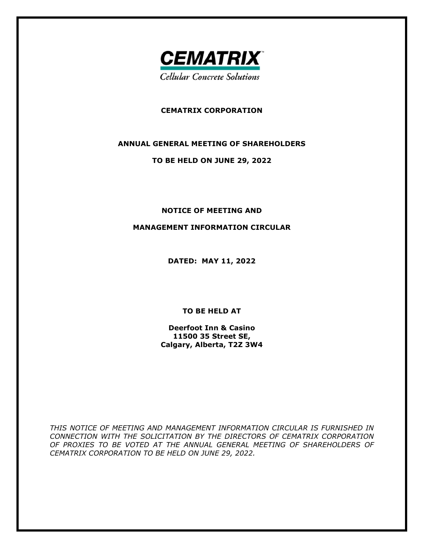

## **CEMATRIX CORPORATION**

#### **ANNUAL GENERAL MEETING OF SHAREHOLDERS**

#### **TO BE HELD ON JUNE 29, 2022**

#### **NOTICE OF MEETING AND**

#### **MANAGEMENT INFORMATION CIRCULAR**

**DATED: MAY 11, 2022** 

**TO BE HELD AT** 

**Deerfoot Inn & Casino 11500 35 Street SE, Calgary, Alberta, T2Z 3W4** 

*THIS NOTICE OF MEETING AND MANAGEMENT INFORMATION CIRCULAR IS FURNISHED IN CONNECTION WITH THE SOLICITATION BY THE DIRECTORS OF CEMATRIX CORPORATION OF PROXIES TO BE VOTED AT THE ANNUAL GENERAL MEETING OF SHAREHOLDERS OF CEMATRIX CORPORATION TO BE HELD ON JUNE 29, 2022.*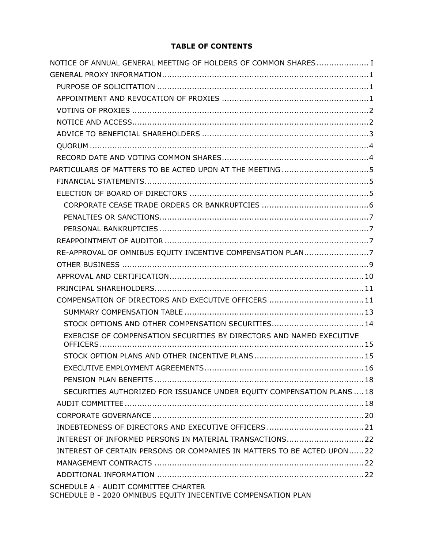# **TABLE OF CONTENTS**

| NOTICE OF ANNUAL GENERAL MEETING OF HOLDERS OF COMMON SHARES I         |
|------------------------------------------------------------------------|
|                                                                        |
|                                                                        |
|                                                                        |
|                                                                        |
|                                                                        |
|                                                                        |
|                                                                        |
|                                                                        |
| PARTICULARS OF MATTERS TO BE ACTED UPON AT THE MEETING 5               |
|                                                                        |
|                                                                        |
|                                                                        |
|                                                                        |
|                                                                        |
|                                                                        |
| RE-APPROVAL OF OMNIBUS EQUITY INCENTIVE COMPENSATION PLAN7             |
|                                                                        |
|                                                                        |
|                                                                        |
|                                                                        |
|                                                                        |
|                                                                        |
| EXERCISE OF COMPENSATION SECURITIES BY DIRECTORS AND NAMED EXECUTIVE   |
|                                                                        |
| <b>FXFCUTIVE FMPLOYMENT AGREEMENTS</b><br>16                           |
|                                                                        |
| SECURITIES AUTHORIZED FOR ISSUANCE UNDER EQUITY COMPENSATION PLANS  18 |
|                                                                        |
|                                                                        |
|                                                                        |
| INTEREST OF INFORMED PERSONS IN MATERIAL TRANSACTIONS22                |
| INTEREST OF CERTAIN PERSONS OR COMPANIES IN MATTERS TO BE ACTED UPON22 |
|                                                                        |
|                                                                        |
| SCHEDULE A - AUDIT COMMITTEE CHARTER                                   |
| SCHEDULE B - 2020 OMNIBUS EQUITY INECENTIVE COMPENSATION PLAN          |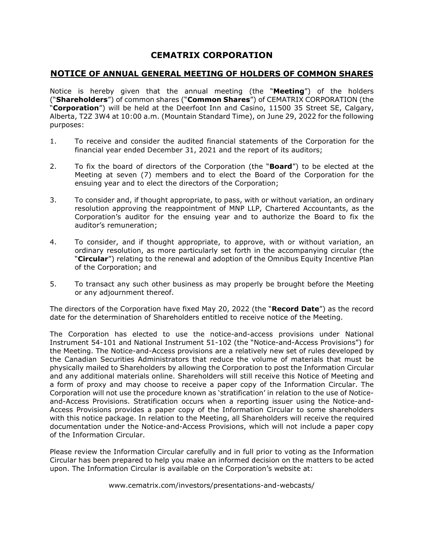# **CEMATRIX CORPORATION**

## **NOTICE OF ANNUAL GENERAL MEETING OF HOLDERS OF COMMON SHARES**

Notice is hereby given that the annual meeting (the "**Meeting**") of the holders ("**Shareholders**") of common shares ("**Common Shares**") of CEMATRIX CORPORATION (the "**Corporation**") will be held at the Deerfoot Inn and Casino, 11500 35 Street SE, Calgary, Alberta, T2Z 3W4 at 10:00 a.m. (Mountain Standard Time), on June 29, 2022 for the following purposes:

- 1. To receive and consider the audited financial statements of the Corporation for the financial year ended December 31, 2021 and the report of its auditors;
- 2. To fix the board of directors of the Corporation (the "**Board**") to be elected at the Meeting at seven (7) members and to elect the Board of the Corporation for the ensuing year and to elect the directors of the Corporation;
- 3. To consider and, if thought appropriate, to pass, with or without variation, an ordinary resolution approving the reappointment of MNP LLP, Chartered Accountants, as the Corporation's auditor for the ensuing year and to authorize the Board to fix the auditor's remuneration;
- 4. To consider, and if thought appropriate, to approve, with or without variation, an ordinary resolution, as more particularly set forth in the accompanying circular (the "**Circular**") relating to the renewal and adoption of the Omnibus Equity Incentive Plan of the Corporation; and
- 5. To transact any such other business as may properly be brought before the Meeting or any adjournment thereof.

The directors of the Corporation have fixed May 20, 2022 (the "**Record Date**") as the record date for the determination of Shareholders entitled to receive notice of the Meeting.

The Corporation has elected to use the notice-and-access provisions under National Instrument 54-101 and National Instrument 51-102 (the "Notice-and-Access Provisions") for the Meeting. The Notice-and-Access provisions are a relatively new set of rules developed by the Canadian Securities Administrators that reduce the volume of materials that must be physically mailed to Shareholders by allowing the Corporation to post the Information Circular and any additional materials online. Shareholders will still receive this Notice of Meeting and a form of proxy and may choose to receive a paper copy of the Information Circular. The Corporation will not use the procedure known as 'stratification' in relation to the use of Noticeand-Access Provisions. Stratification occurs when a reporting issuer using the Notice-and-Access Provisions provides a paper copy of the Information Circular to some shareholders with this notice package. In relation to the Meeting, all Shareholders will receive the required documentation under the Notice-and-Access Provisions, which will not include a paper copy of the Information Circular.

Please review the Information Circular carefully and in full prior to voting as the Information Circular has been prepared to help you make an informed decision on the matters to be acted upon. The Information Circular is available on the Corporation's website at:

www.cematrix.com/investors/presentations-and-webcasts/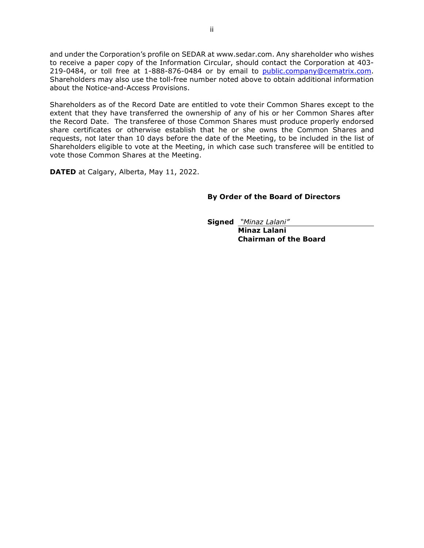and under the Corporation's profile on SEDAR at www.sedar.com. Any shareholder who wishes to receive a paper copy of the Information Circular, should contact the Corporation at 403- 219-0484, or toll free at 1-888-876-0484 or by email to public.company@cematrix.com. Shareholders may also use the toll-free number noted above to obtain additional information about the Notice-and-Access Provisions.

Shareholders as of the Record Date are entitled to vote their Common Shares except to the extent that they have transferred the ownership of any of his or her Common Shares after the Record Date. The transferee of those Common Shares must produce properly endorsed share certificates or otherwise establish that he or she owns the Common Shares and requests, not later than 10 days before the date of the Meeting, to be included in the list of Shareholders eligible to vote at the Meeting, in which case such transferee will be entitled to vote those Common Shares at the Meeting.

**DATED** at Calgary, Alberta, May 11, 2022.

### **By Order of the Board of Directors**

**Signed** *"Minaz Lalani"* 

 **Minaz Lalani Chairman of the Board**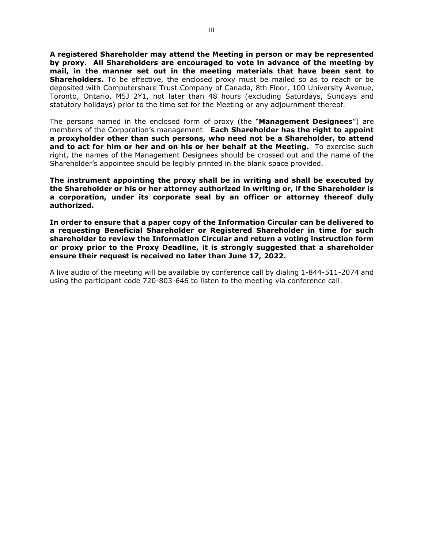**A registered Shareholder may attend the Meeting in person or may be represented by proxy. All Shareholders are encouraged to vote in advance of the meeting by mail, in the manner set out in the meeting materials that have been sent to Shareholders.** To be effective, the enclosed proxy must be mailed so as to reach or be deposited with Computershare Trust Company of Canada, 8th Floor, 100 University Avenue, Toronto, Ontario, M5J 2Y1, not later than 48 hours (excluding Saturdays, Sundays and statutory holidays) prior to the time set for the Meeting or any adjournment thereof.

The persons named in the enclosed form of proxy (the "**Management Designees**") are members of the Corporation's management. **Each Shareholder has the right to appoint a proxyholder other than such persons, who need not be a Shareholder, to attend and to act for him or her and on his or her behalf at the Meeting.** To exercise such right, the names of the Management Designees should be crossed out and the name of the Shareholder's appointee should be legibly printed in the blank space provided.

**The instrument appointing the proxy shall be in writing and shall be executed by the Shareholder or his or her attorney authorized in writing or, if the Shareholder is a corporation, under its corporate seal by an officer or attorney thereof duly authorized.** 

**In order to ensure that a paper copy of the Information Circular can be delivered to a requesting Beneficial Shareholder or Registered Shareholder in time for such shareholder to review the Information Circular and return a voting instruction form or proxy prior to the Proxy Deadline, it is strongly suggested that a shareholder ensure their request is received no later than June 17, 2022.** 

A live audio of the meeting will be available by conference call by dialing 1-844-511-2074 and using the participant code 720-803-646 to listen to the meeting via conference call.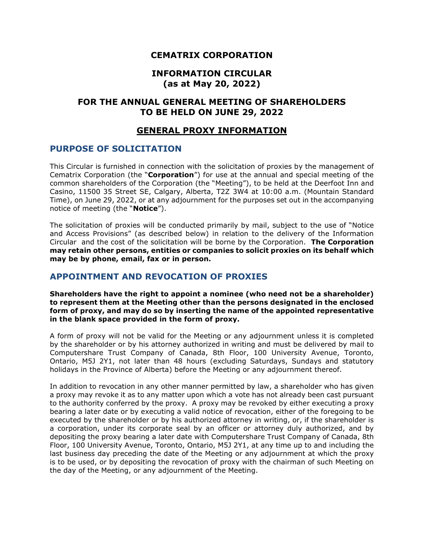# **CEMATRIX CORPORATION**

## **INFORMATION CIRCULAR (as at May 20, 2022)**

# **FOR THE ANNUAL GENERAL MEETING OF SHAREHOLDERS TO BE HELD ON JUNE 29, 2022**

# **GENERAL PROXY INFORMATION**

## **PURPOSE OF SOLICITATION**

This Circular is furnished in connection with the solicitation of proxies by the management of Cematrix Corporation (the "**Corporation**") for use at the annual and special meeting of the common shareholders of the Corporation (the "Meeting"), to be held at the Deerfoot Inn and Casino, 11500 35 Street SE, Calgary, Alberta, T2Z 3W4 at 10:00 a.m. (Mountain Standard Time), on June 29, 2022, or at any adjournment for the purposes set out in the accompanying notice of meeting (the "**Notice**").

The solicitation of proxies will be conducted primarily by mail, subject to the use of "Notice and Access Provisions" (as described below) in relation to the delivery of the Information Circular and the cost of the solicitation will be borne by the Corporation. **The Corporation may retain other persons, entities or companies to solicit proxies on its behalf which may be by phone, email, fax or in person.**

# **APPOINTMENT AND REVOCATION OF PROXIES**

**Shareholders have the right to appoint a nominee (who need not be a shareholder) to represent them at the Meeting other than the persons designated in the enclosed form of proxy, and may do so by inserting the name of the appointed representative in the blank space provided in the form of proxy.** 

A form of proxy will not be valid for the Meeting or any adjournment unless it is completed by the shareholder or by his attorney authorized in writing and must be delivered by mail to Computershare Trust Company of Canada, 8th Floor, 100 University Avenue, Toronto, Ontario, M5J 2Y1, not later than 48 hours (excluding Saturdays, Sundays and statutory holidays in the Province of Alberta) before the Meeting or any adjournment thereof.

In addition to revocation in any other manner permitted by law, a shareholder who has given a proxy may revoke it as to any matter upon which a vote has not already been cast pursuant to the authority conferred by the proxy. A proxy may be revoked by either executing a proxy bearing a later date or by executing a valid notice of revocation, either of the foregoing to be executed by the shareholder or by his authorized attorney in writing, or, if the shareholder is a corporation, under its corporate seal by an officer or attorney duly authorized, and by depositing the proxy bearing a later date with Computershare Trust Company of Canada, 8th Floor, 100 University Avenue, Toronto, Ontario, M5J 2Y1, at any time up to and including the last business day preceding the date of the Meeting or any adjournment at which the proxy is to be used, or by depositing the revocation of proxy with the chairman of such Meeting on the day of the Meeting, or any adjournment of the Meeting.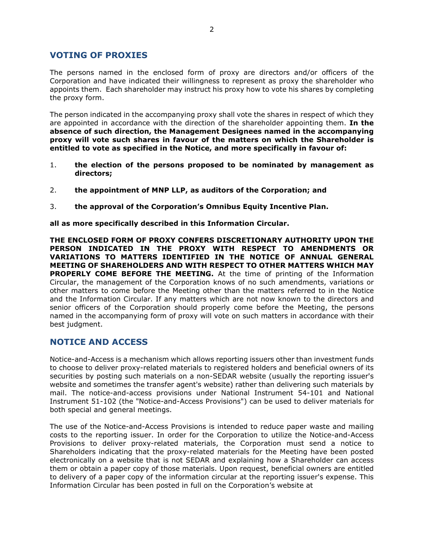# **VOTING OF PROXIES**

The persons named in the enclosed form of proxy are directors and/or officers of the Corporation and have indicated their willingness to represent as proxy the shareholder who appoints them. Each shareholder may instruct his proxy how to vote his shares by completing the proxy form.

The person indicated in the accompanying proxy shall vote the shares in respect of which they are appointed in accordance with the direction of the shareholder appointing them. **In the absence of such direction, the Management Designees named in the accompanying proxy will vote such shares in favour of the matters on which the Shareholder is entitled to vote as specified in the Notice, and more specifically in favour of:** 

- 1. **the election of the persons proposed to be nominated by management as directors;**
- 2. **the appointment of MNP LLP, as auditors of the Corporation; and**
- 3. **the approval of the Corporation's Omnibus Equity Incentive Plan.**

**all as more specifically described in this Information Circular.** 

**THE ENCLOSED FORM OF PROXY CONFERS DISCRETIONARY AUTHORITY UPON THE PERSON INDICATED IN THE PROXY WITH RESPECT TO AMENDMENTS OR VARIATIONS TO MATTERS IDENTIFIED IN THE NOTICE OF ANNUAL GENERAL MEETING OF SHAREHOLDERS AND WITH RESPECT TO OTHER MATTERS WHICH MAY PROPERLY COME BEFORE THE MEETING.** At the time of printing of the Information Circular, the management of the Corporation knows of no such amendments, variations or other matters to come before the Meeting other than the matters referred to in the Notice and the Information Circular. If any matters which are not now known to the directors and senior officers of the Corporation should properly come before the Meeting, the persons named in the accompanying form of proxy will vote on such matters in accordance with their best judgment.

# **NOTICE AND ACCESS**

Notice-and-Access is a mechanism which allows reporting issuers other than investment funds to choose to deliver proxy-related materials to registered holders and beneficial owners of its securities by posting such materials on a non-SEDAR website (usually the reporting issuer's website and sometimes the transfer agent's website) rather than delivering such materials by mail. The notice-and-access provisions under National Instrument 54-101 and National Instrument 51-102 (the "Notice-and-Access Provisions") can be used to deliver materials for both special and general meetings.

The use of the Notice-and-Access Provisions is intended to reduce paper waste and mailing costs to the reporting issuer. In order for the Corporation to utilize the Notice-and-Access Provisions to deliver proxy-related materials, the Corporation must send a notice to Shareholders indicating that the proxy-related materials for the Meeting have been posted electronically on a website that is not SEDAR and explaining how a Shareholder can access them or obtain a paper copy of those materials. Upon request, beneficial owners are entitled to delivery of a paper copy of the information circular at the reporting issuer's expense. This Information Circular has been posted in full on the Corporation's website at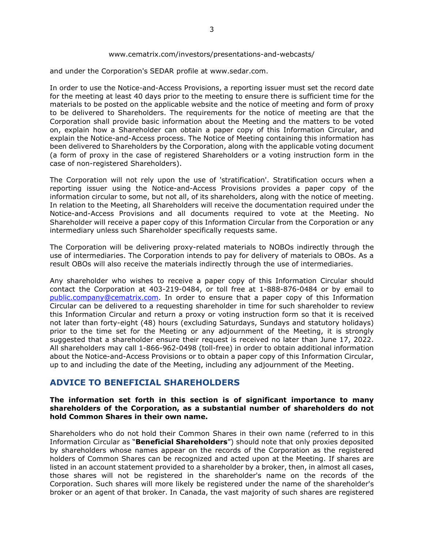#### www.cematrix.com/investors/presentations-and-webcasts/

and under the Corporation's SEDAR profile at www.sedar.com.

In order to use the Notice-and-Access Provisions, a reporting issuer must set the record date for the meeting at least 40 days prior to the meeting to ensure there is sufficient time for the materials to be posted on the applicable website and the notice of meeting and form of proxy to be delivered to Shareholders. The requirements for the notice of meeting are that the Corporation shall provide basic information about the Meeting and the matters to be voted on, explain how a Shareholder can obtain a paper copy of this Information Circular, and explain the Notice-and-Access process. The Notice of Meeting containing this information has been delivered to Shareholders by the Corporation, along with the applicable voting document (a form of proxy in the case of registered Shareholders or a voting instruction form in the case of non-registered Shareholders).

The Corporation will not rely upon the use of 'stratification'. Stratification occurs when a reporting issuer using the Notice-and-Access Provisions provides a paper copy of the information circular to some, but not all, of its shareholders, along with the notice of meeting. In relation to the Meeting, all Shareholders will receive the documentation required under the Notice-and-Access Provisions and all documents required to vote at the Meeting. No Shareholder will receive a paper copy of this Information Circular from the Corporation or any intermediary unless such Shareholder specifically requests same.

The Corporation will be delivering proxy-related materials to NOBOs indirectly through the use of intermediaries. The Corporation intends to pay for delivery of materials to OBOs. As a result OBOs will also receive the materials indirectly through the use of intermediaries.

Any shareholder who wishes to receive a paper copy of this Information Circular should contact the Corporation at 403-219-0484, or toll free at 1-888-876-0484 or by email to public.company@cematrix.com. In order to ensure that a paper copy of this Information Circular can be delivered to a requesting shareholder in time for such shareholder to review this Information Circular and return a proxy or voting instruction form so that it is received not later than forty-eight (48) hours (excluding Saturdays, Sundays and statutory holidays) prior to the time set for the Meeting or any adjournment of the Meeting, it is strongly suggested that a shareholder ensure their request is received no later than June 17, 2022. All shareholders may call 1-866-962-0498 (toll-free) in order to obtain additional information about the Notice-and-Access Provisions or to obtain a paper copy of this Information Circular, up to and including the date of the Meeting, including any adjournment of the Meeting.

## **ADVICE TO BENEFICIAL SHAREHOLDERS**

#### **The information set forth in this section is of significant importance to many shareholders of the Corporation, as a substantial number of shareholders do not hold Common Shares in their own name.**

Shareholders who do not hold their Common Shares in their own name (referred to in this Information Circular as "**Beneficial Shareholders**") should note that only proxies deposited by shareholders whose names appear on the records of the Corporation as the registered holders of Common Shares can be recognized and acted upon at the Meeting. If shares are listed in an account statement provided to a shareholder by a broker, then, in almost all cases, those shares will not be registered in the shareholder's name on the records of the Corporation. Such shares will more likely be registered under the name of the shareholder's broker or an agent of that broker. In Canada, the vast majority of such shares are registered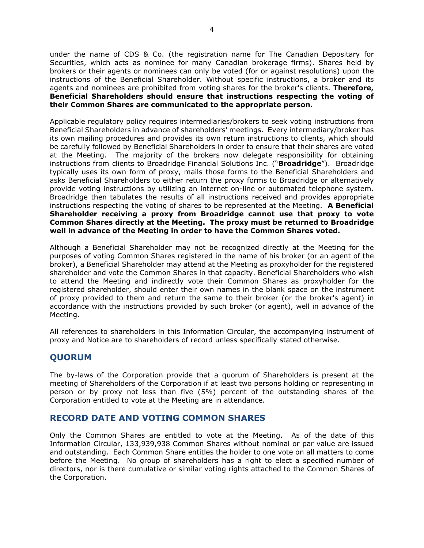under the name of CDS & Co. (the registration name for The Canadian Depositary for Securities, which acts as nominee for many Canadian brokerage firms). Shares held by brokers or their agents or nominees can only be voted (for or against resolutions) upon the instructions of the Beneficial Shareholder. Without specific instructions, a broker and its agents and nominees are prohibited from voting shares for the broker's clients. **Therefore, Beneficial Shareholders should ensure that instructions respecting the voting of their Common Shares are communicated to the appropriate person.**

Applicable regulatory policy requires intermediaries/brokers to seek voting instructions from Beneficial Shareholders in advance of shareholders' meetings. Every intermediary/broker has its own mailing procedures and provides its own return instructions to clients, which should be carefully followed by Beneficial Shareholders in order to ensure that their shares are voted at the Meeting. The majority of the brokers now delegate responsibility for obtaining instructions from clients to Broadridge Financial Solutions Inc. ("**Broadridge**"). Broadridge typically uses its own form of proxy, mails those forms to the Beneficial Shareholders and asks Beneficial Shareholders to either return the proxy forms to Broadridge or alternatively provide voting instructions by utilizing an internet on-line or automated telephone system. Broadridge then tabulates the results of all instructions received and provides appropriate instructions respecting the voting of shares to be represented at the Meeting. **A Beneficial Shareholder receiving a proxy from Broadridge cannot use that proxy to vote Common Shares directly at the Meeting. The proxy must be returned to Broadridge well in advance of the Meeting in order to have the Common Shares voted.**

Although a Beneficial Shareholder may not be recognized directly at the Meeting for the purposes of voting Common Shares registered in the name of his broker (or an agent of the broker), a Beneficial Shareholder may attend at the Meeting as proxyholder for the registered shareholder and vote the Common Shares in that capacity. Beneficial Shareholders who wish to attend the Meeting and indirectly vote their Common Shares as proxyholder for the registered shareholder, should enter their own names in the blank space on the instrument of proxy provided to them and return the same to their broker (or the broker's agent) in accordance with the instructions provided by such broker (or agent), well in advance of the Meeting.

All references to shareholders in this Information Circular, the accompanying instrument of proxy and Notice are to shareholders of record unless specifically stated otherwise.

# **QUORUM**

The by-laws of the Corporation provide that a quorum of Shareholders is present at the meeting of Shareholders of the Corporation if at least two persons holding or representing in person or by proxy not less than five (5%) percent of the outstanding shares of the Corporation entitled to vote at the Meeting are in attendance.

# **RECORD DATE AND VOTING COMMON SHARES**

Only the Common Shares are entitled to vote at the Meeting. As of the date of this Information Circular, 133,939,938 Common Shares without nominal or par value are issued and outstanding. Each Common Share entitles the holder to one vote on all matters to come before the Meeting. No group of shareholders has a right to elect a specified number of directors, nor is there cumulative or similar voting rights attached to the Common Shares of the Corporation.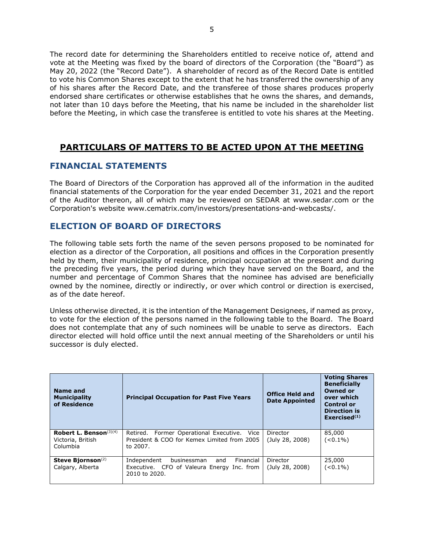The record date for determining the Shareholders entitled to receive notice of, attend and vote at the Meeting was fixed by the board of directors of the Corporation (the "Board") as May 20, 2022 (the "Record Date"). A shareholder of record as of the Record Date is entitled to vote his Common Shares except to the extent that he has transferred the ownership of any of his shares after the Record Date, and the transferee of those shares produces properly endorsed share certificates or otherwise establishes that he owns the shares, and demands, not later than 10 days before the Meeting, that his name be included in the shareholder list before the Meeting, in which case the transferee is entitled to vote his shares at the Meeting.

# **PARTICULARS OF MATTERS TO BE ACTED UPON AT THE MEETING**

# **FINANCIAL STATEMENTS**

The Board of Directors of the Corporation has approved all of the information in the audited financial statements of the Corporation for the year ended December 31, 2021 and the report of the Auditor thereon, all of which may be reviewed on SEDAR at www.sedar.com or the Corporation's website www.cematrix.com/investors/presentations-and-webcasts/.

# **ELECTION OF BOARD OF DIRECTORS**

The following table sets forth the name of the seven persons proposed to be nominated for election as a director of the Corporation, all positions and offices in the Corporation presently held by them, their municipality of residence, principal occupation at the present and during the preceding five years, the period during which they have served on the Board, and the number and percentage of Common Shares that the nominee has advised are beneficially owned by the nominee, directly or indirectly, or over which control or direction is exercised, as of the date hereof.

Unless otherwise directed, it is the intention of the Management Designees, if named as proxy, to vote for the election of the persons named in the following table to the Board. The Board does not contemplate that any of such nominees will be unable to serve as directors. Each director elected will hold office until the next annual meeting of the Shareholders or until his successor is duly elected.

| Name and<br><b>Municipality</b><br>of Residence            | <b>Principal Occupation for Past Five Years</b>                                                               | <b>Office Held and</b><br><b>Date Appointed</b> | <b>Voting Shares</b><br><b>Beneficially</b><br><b>Owned or</b><br>over which<br><b>Control or</b><br><b>Direction is</b><br>Exercised $(1)$ |
|------------------------------------------------------------|---------------------------------------------------------------------------------------------------------------|-------------------------------------------------|---------------------------------------------------------------------------------------------------------------------------------------------|
| Robert L. Benson $(3)(4)$<br>Victoria, British<br>Columbia | Retired. Former Operational Executive. Vice<br>President & COO for Kemex Limited from 2005<br>to 2007.        | Director<br>(July 28, 2008)                     | 85,000<br>$(< 0.1\%)$                                                                                                                       |
| Steve Bjornson $(2)$<br>Calgary, Alberta                   | Independent<br>Financial<br>businessman<br>and<br>Executive. CFO of Valeura Energy Inc. from<br>2010 to 2020. | Director<br>(July 28, 2008)                     | 25,000<br>$(< 0.1\%)$                                                                                                                       |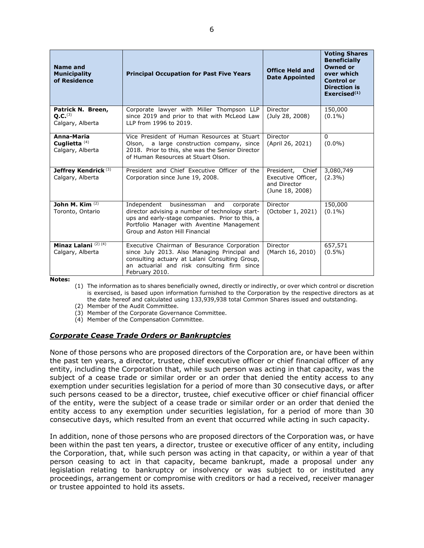| <b>Name and</b><br><b>Municipality</b><br>of Residence       | <b>Principal Occupation for Past Five Years</b>                                                                                                                                                                                      | <b>Office Held and</b><br><b>Date Appointed</b>                              | <b>Voting Shares</b><br><b>Beneficially</b><br><b>Owned or</b><br>over which<br><b>Control or</b><br><b>Direction is</b><br>Exercised $(1)$ |
|--------------------------------------------------------------|--------------------------------------------------------------------------------------------------------------------------------------------------------------------------------------------------------------------------------------|------------------------------------------------------------------------------|---------------------------------------------------------------------------------------------------------------------------------------------|
| Patrick N. Breen,<br>O.C. <sup>(3)</sup><br>Calgary, Alberta | Corporate lawyer with Miller Thompson LLP<br>since 2019 and prior to that with McLeod Law<br>LLP from 1996 to 2019.                                                                                                                  | Director<br>(July 28, 2008)                                                  | 150,000<br>$(0.1\%)$                                                                                                                        |
| Anna-Maria<br>Cuglietta $(4)$<br>Calgary, Alberta            | Vice President of Human Resources at Stuart<br>Olson, a large construction company, since<br>2018. Prior to this, she was the Senior Director<br>of Human Resources at Stuart Olson.                                                 | Director<br>(April 26, 2021)                                                 | $\Omega$<br>$(0.0\%)$                                                                                                                       |
| Jeffrey Kendrick <sup>(3)</sup><br>Calgary, Alberta          | President and Chief Executive Officer of the<br>Corporation since June 19, 2008.                                                                                                                                                     | Chief<br>President,<br>Executive Officer,<br>and Director<br>(June 18, 2008) | 3,080,749<br>$(2.3\%)$                                                                                                                      |
| John M. Kim $(2)$<br>Toronto, Ontario                        | Independent<br>businessman<br>and<br>corporate<br>director advising a number of technology start-<br>ups and early-stage companies. Prior to this, a<br>Portfolio Manager with Aventine Management<br>Group and Aston Hill Financial | Director<br>(October 1, 2021)                                                | 150,000<br>$(0.1\%)$                                                                                                                        |
| Minaz Lalani $(2)$ $(4)$<br>Calgary, Alberta                 | Executive Chairman of Besurance Corporation<br>since July 2013. Also Managing Principal and<br>consulting actuary at Lalani Consulting Group,<br>an actuarial and risk consulting firm since<br>February 2010.                       | Director<br>(March 16, 2010)                                                 | 657,571<br>$(0.5\%)$                                                                                                                        |

**Notes:** 

(1) The information as to shares beneficially owned, directly or indirectly, or over which control or discretion is exercised, is based upon information furnished to the Corporation by the respective directors as at the date hereof and calculated using 133,939,938 total Common Shares issued and outstanding.

(2) Member of the Audit Committee.

- (3) Member of the Corporate Governance Committee.
- (4) Member of the Compensation Committee.

#### *Corporate Cease Trade Orders or Bankruptcies*

None of those persons who are proposed directors of the Corporation are, or have been within the past ten years, a director, trustee, chief executive officer or chief financial officer of any entity, including the Corporation that, while such person was acting in that capacity, was the subject of a cease trade or similar order or an order that denied the entity access to any exemption under securities legislation for a period of more than 30 consecutive days, or after such persons ceased to be a director, trustee, chief executive officer or chief financial officer of the entity, were the subject of a cease trade or similar order or an order that denied the entity access to any exemption under securities legislation, for a period of more than 30 consecutive days, which resulted from an event that occurred while acting in such capacity.

In addition, none of those persons who are proposed directors of the Corporation was, or have been within the past ten years, a director, trustee or executive officer of any entity, including the Corporation, that, while such person was acting in that capacity, or within a year of that person ceasing to act in that capacity, became bankrupt, made a proposal under any legislation relating to bankruptcy or insolvency or was subject to or instituted any proceedings, arrangement or compromise with creditors or had a received, receiver manager or trustee appointed to hold its assets.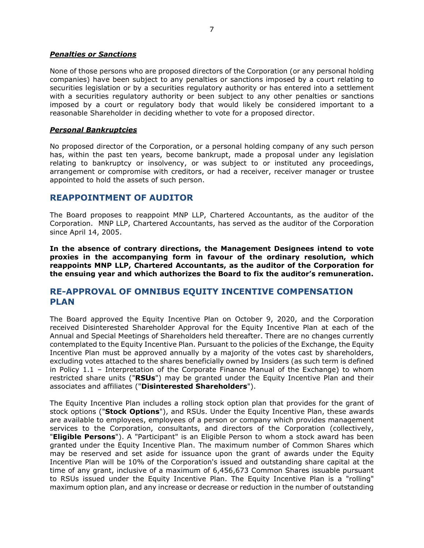#### *Penalties or Sanctions*

None of those persons who are proposed directors of the Corporation (or any personal holding companies) have been subject to any penalties or sanctions imposed by a court relating to securities legislation or by a securities regulatory authority or has entered into a settlement with a securities regulatory authority or been subject to any other penalties or sanctions imposed by a court or regulatory body that would likely be considered important to a reasonable Shareholder in deciding whether to vote for a proposed director.

### *Personal Bankruptcies*

No proposed director of the Corporation, or a personal holding company of any such person has, within the past ten years, become bankrupt, made a proposal under any legislation relating to bankruptcy or insolvency, or was subject to or instituted any proceedings, arrangement or compromise with creditors, or had a receiver, receiver manager or trustee appointed to hold the assets of such person.

# **REAPPOINTMENT OF AUDITOR**

The Board proposes to reappoint MNP LLP, Chartered Accountants, as the auditor of the Corporation. MNP LLP, Chartered Accountants, has served as the auditor of the Corporation since April 14, 2005.

**In the absence of contrary directions, the Management Designees intend to vote proxies in the accompanying form in favour of the ordinary resolution, which reappoints MNP LLP, Chartered Accountants, as the auditor of the Corporation for the ensuing year and which authorizes the Board to fix the auditor's remuneration.** 

# **RE-APPROVAL OF OMNIBUS EQUITY INCENTIVE COMPENSATION PLAN**

The Board approved the Equity Incentive Plan on October 9, 2020, and the Corporation received Disinterested Shareholder Approval for the Equity Incentive Plan at each of the Annual and Special Meetings of Shareholders held thereafter. There are no changes currently contemplated to the Equity Incentive Plan. Pursuant to the policies of the Exchange, the Equity Incentive Plan must be approved annually by a majority of the votes cast by shareholders, excluding votes attached to the shares beneficially owned by Insiders (as such term is defined in Policy 1.1 – Interpretation of the Corporate Finance Manual of the Exchange) to whom restricted share units ("**RSUs**") may be granted under the Equity Incentive Plan and their associates and affiliates ("**Disinterested Shareholders**").

The Equity Incentive Plan includes a rolling stock option plan that provides for the grant of stock options ("**Stock Options**"), and RSUs. Under the Equity Incentive Plan, these awards are available to employees, employees of a person or company which provides management services to the Corporation, consultants, and directors of the Corporation (collectively, "**Eligible Persons**"). A "Participant" is an Eligible Person to whom a stock award has been granted under the Equity Incentive Plan. The maximum number of Common Shares which may be reserved and set aside for issuance upon the grant of awards under the Equity Incentive Plan will be 10% of the Corporation's issued and outstanding share capital at the time of any grant, inclusive of a maximum of 6,456,673 Common Shares issuable pursuant to RSUs issued under the Equity Incentive Plan. The Equity Incentive Plan is a "rolling" maximum option plan, and any increase or decrease or reduction in the number of outstanding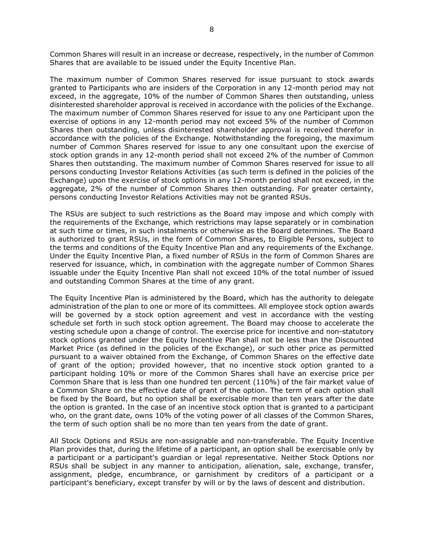Common Shares will result in an increase or decrease, respectively, in the number of Common Shares that are available to be issued under the Equity Incentive Plan.

The maximum number of Common Shares reserved for issue pursuant to stock awards granted to Participants who are insiders of the Corporation in any 12-month period may not exceed, in the aggregate, 10% of the number of Common Shares then outstanding, unless disinterested shareholder approval is received in accordance with the policies of the Exchange. The maximum number of Common Shares reserved for issue to any one Participant upon the exercise of options in any 12-month period may not exceed 5% of the number of Common Shares then outstanding, unless disinterested shareholder approval is received therefor in accordance with the policies of the Exchange. Notwithstanding the foregoing, the maximum number of Common Shares reserved for issue to any one consultant upon the exercise of stock option grands in any 12-month period shall not exceed 2% of the number of Common Shares then outstanding. The maximum number of Common Shares reserved for issue to all persons conducting Investor Relations Activities (as such term is defined in the policies of the Exchange) upon the exercise of stock options in any 12-month period shall not exceed, in the aggregate, 2% of the number of Common Shares then outstanding. For greater certainty, persons conducting Investor Relations Activities may not be granted RSUs.

The RSUs are subject to such restrictions as the Board may impose and which comply with the requirements of the Exchange, which restrictions may lapse separately or in combination at such time or times, in such instalments or otherwise as the Board determines. The Board is authorized to grant RSUs, in the form of Common Shares, to Eligible Persons, subject to the terms and conditions of the Equity Incentive Plan and any requirements of the Exchange. Under the Equity Incentive Plan, a fixed number of RSUs in the form of Common Shares are reserved for issuance, which, in combination with the aggregate number of Common Shares issuable under the Equity Incentive Plan shall not exceed 10% of the total number of issued and outstanding Common Shares at the time of any grant.

The Equity Incentive Plan is administered by the Board, which has the authority to delegate administration of the plan to one or more of its committees. All employee stock option awards will be governed by a stock option agreement and vest in accordance with the vesting schedule set forth in such stock option agreement. The Board may choose to accelerate the vesting schedule upon a change of control. The exercise price for incentive and non-statutory stock options granted under the Equity Incentive Plan shall not be less than the Discounted Market Price (as defined in the policies of the Exchange), or such other price as permitted pursuant to a waiver obtained from the Exchange, of Common Shares on the effective date of grant of the option; provided however, that no incentive stock option granted to a participant holding 10% or more of the Common Shares shall have an exercise price per Common Share that is less than one hundred ten percent (110%) of the fair market value of a Common Share on the effective date of grant of the option. The term of each option shall be fixed by the Board, but no option shall be exercisable more than ten years after the date the option is granted. In the case of an incentive stock option that is granted to a participant who, on the grant date, owns 10% of the voting power of all classes of the Common Shares, the term of such option shall be no more than ten years from the date of grant.

All Stock Options and RSUs are non-assignable and non-transferable. The Equity Incentive Plan provides that, during the lifetime of a participant, an option shall be exercisable only by a participant or a participant's guardian or legal representative. Neither Stock Options nor RSUs shall be subject in any manner to anticipation, alienation, sale, exchange, transfer, assignment, pledge, encumbrance, or garnishment by creditors of a participant or a participant's beneficiary, except transfer by will or by the laws of descent and distribution.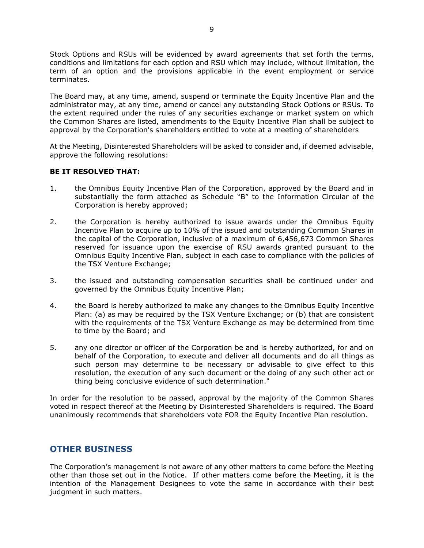Stock Options and RSUs will be evidenced by award agreements that set forth the terms, conditions and limitations for each option and RSU which may include, without limitation, the term of an option and the provisions applicable in the event employment or service terminates.

The Board may, at any time, amend, suspend or terminate the Equity Incentive Plan and the administrator may, at any time, amend or cancel any outstanding Stock Options or RSUs. To the extent required under the rules of any securities exchange or market system on which the Common Shares are listed, amendments to the Equity Incentive Plan shall be subject to approval by the Corporation's shareholders entitled to vote at a meeting of shareholders

At the Meeting, Disinterested Shareholders will be asked to consider and, if deemed advisable, approve the following resolutions:

### **BE IT RESOLVED THAT:**

- 1. the Omnibus Equity Incentive Plan of the Corporation, approved by the Board and in substantially the form attached as Schedule "B" to the Information Circular of the Corporation is hereby approved;
- 2. the Corporation is hereby authorized to issue awards under the Omnibus Equity Incentive Plan to acquire up to 10% of the issued and outstanding Common Shares in the capital of the Corporation, inclusive of a maximum of 6,456,673 Common Shares reserved for issuance upon the exercise of RSU awards granted pursuant to the Omnibus Equity Incentive Plan, subject in each case to compliance with the policies of the TSX Venture Exchange;
- 3. the issued and outstanding compensation securities shall be continued under and governed by the Omnibus Equity Incentive Plan;
- 4. the Board is hereby authorized to make any changes to the Omnibus Equity Incentive Plan: (a) as may be required by the TSX Venture Exchange; or (b) that are consistent with the requirements of the TSX Venture Exchange as may be determined from time to time by the Board; and
- 5. any one director or officer of the Corporation be and is hereby authorized, for and on behalf of the Corporation, to execute and deliver all documents and do all things as such person may determine to be necessary or advisable to give effect to this resolution, the execution of any such document or the doing of any such other act or thing being conclusive evidence of such determination."

In order for the resolution to be passed, approval by the majority of the Common Shares voted in respect thereof at the Meeting by Disinterested Shareholders is required. The Board unanimously recommends that shareholders vote FOR the Equity Incentive Plan resolution.

# **OTHER BUSINESS**

The Corporation's management is not aware of any other matters to come before the Meeting other than those set out in the Notice. If other matters come before the Meeting, it is the intention of the Management Designees to vote the same in accordance with their best judgment in such matters.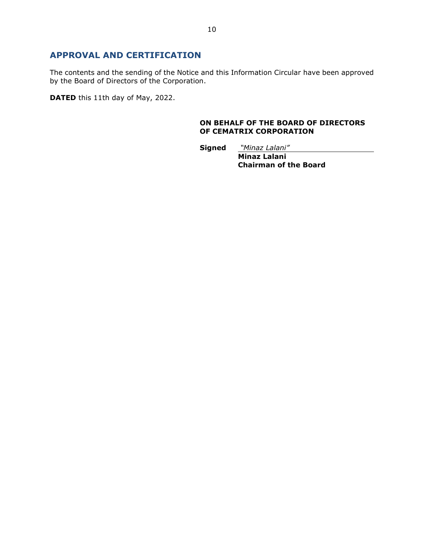# **APPROVAL AND CERTIFICATION**

The contents and the sending of the Notice and this Information Circular have been approved by the Board of Directors of the Corporation.

**DATED** this 11th day of May, 2022.

### **ON BEHALF OF THE BOARD OF DIRECTORS OF CEMATRIX CORPORATION**

**Signed** *"Minaz Lalani"* 

 **Minaz Lalani Chairman of the Board**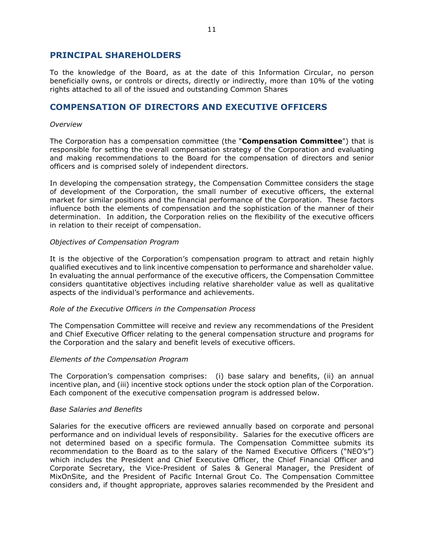## **PRINCIPAL SHAREHOLDERS**

To the knowledge of the Board, as at the date of this Information Circular, no person beneficially owns, or controls or directs, directly or indirectly, more than 10% of the voting rights attached to all of the issued and outstanding Common Shares

# **COMPENSATION OF DIRECTORS AND EXECUTIVE OFFICERS**

#### *Overview*

The Corporation has a compensation committee (the "**Compensation Committee**") that is responsible for setting the overall compensation strategy of the Corporation and evaluating and making recommendations to the Board for the compensation of directors and senior officers and is comprised solely of independent directors.

In developing the compensation strategy, the Compensation Committee considers the stage of development of the Corporation, the small number of executive officers, the external market for similar positions and the financial performance of the Corporation. These factors influence both the elements of compensation and the sophistication of the manner of their determination. In addition, the Corporation relies on the flexibility of the executive officers in relation to their receipt of compensation.

#### *Objectives of Compensation Program*

It is the objective of the Corporation's compensation program to attract and retain highly qualified executives and to link incentive compensation to performance and shareholder value. In evaluating the annual performance of the executive officers, the Compensation Committee considers quantitative objectives including relative shareholder value as well as qualitative aspects of the individual's performance and achievements.

#### *Role of the Executive Officers in the Compensation Process*

The Compensation Committee will receive and review any recommendations of the President and Chief Executive Officer relating to the general compensation structure and programs for the Corporation and the salary and benefit levels of executive officers.

#### *Elements of the Compensation Program*

The Corporation's compensation comprises: (i) base salary and benefits, (ii) an annual incentive plan, and (iii) incentive stock options under the stock option plan of the Corporation. Each component of the executive compensation program is addressed below.

#### *Base Salaries and Benefits*

Salaries for the executive officers are reviewed annually based on corporate and personal performance and on individual levels of responsibility. Salaries for the executive officers are not determined based on a specific formula. The Compensation Committee submits its recommendation to the Board as to the salary of the Named Executive Officers ("NEO's") which includes the President and Chief Executive Officer, the Chief Financial Officer and Corporate Secretary, the Vice-President of Sales & General Manager, the President of MixOnSite, and the President of Pacific Internal Grout Co. The Compensation Committee considers and, if thought appropriate, approves salaries recommended by the President and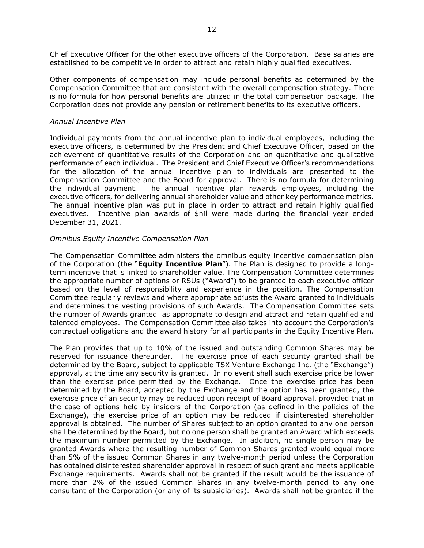Chief Executive Officer for the other executive officers of the Corporation. Base salaries are established to be competitive in order to attract and retain highly qualified executives.

Other components of compensation may include personal benefits as determined by the Compensation Committee that are consistent with the overall compensation strategy. There is no formula for how personal benefits are utilized in the total compensation package. The Corporation does not provide any pension or retirement benefits to its executive officers.

#### *Annual Incentive Plan*

Individual payments from the annual incentive plan to individual employees, including the executive officers, is determined by the President and Chief Executive Officer, based on the achievement of quantitative results of the Corporation and on quantitative and qualitative performance of each individual. The President and Chief Executive Officer's recommendations for the allocation of the annual incentive plan to individuals are presented to the Compensation Committee and the Board for approval. There is no formula for determining the individual payment. The annual incentive plan rewards employees, including the executive officers, for delivering annual shareholder value and other key performance metrics. The annual incentive plan was put in place in order to attract and retain highly qualified executives. Incentive plan awards of \$nil were made during the financial year ended December 31, 2021.

#### *Omnibus Equity Incentive Compensation Plan*

The Compensation Committee administers the omnibus equity incentive compensation plan of the Corporation (the "**Equity Incentive Plan**"). The Plan is designed to provide a longterm incentive that is linked to shareholder value. The Compensation Committee determines the appropriate number of options or RSUs ("Award") to be granted to each executive officer based on the level of responsibility and experience in the position. The Compensation Committee regularly reviews and where appropriate adjusts the Award granted to individuals and determines the vesting provisions of such Awards. The Compensation Committee sets the number of Awards granted as appropriate to design and attract and retain qualified and talented employees. The Compensation Committee also takes into account the Corporation's contractual obligations and the award history for all participants in the Equity Incentive Plan.

The Plan provides that up to 10% of the issued and outstanding Common Shares may be reserved for issuance thereunder. The exercise price of each security granted shall be determined by the Board, subject to applicable TSX Venture Exchange Inc. (the "Exchange") approval, at the time any security is granted. In no event shall such exercise price be lower than the exercise price permitted by the Exchange. Once the exercise price has been determined by the Board, accepted by the Exchange and the option has been granted, the exercise price of an security may be reduced upon receipt of Board approval, provided that in the case of options held by insiders of the Corporation (as defined in the policies of the Exchange), the exercise price of an option may be reduced if disinterested shareholder approval is obtained. The number of Shares subject to an option granted to any one person shall be determined by the Board, but no one person shall be granted an Award which exceeds the maximum number permitted by the Exchange. In addition, no single person may be granted Awards where the resulting number of Common Shares granted would equal more than 5% of the issued Common Shares in any twelve-month period unless the Corporation has obtained disinterested shareholder approval in respect of such grant and meets applicable Exchange requirements. Awards shall not be granted if the result would be the issuance of more than 2% of the issued Common Shares in any twelve-month period to any one consultant of the Corporation (or any of its subsidiaries). Awards shall not be granted if the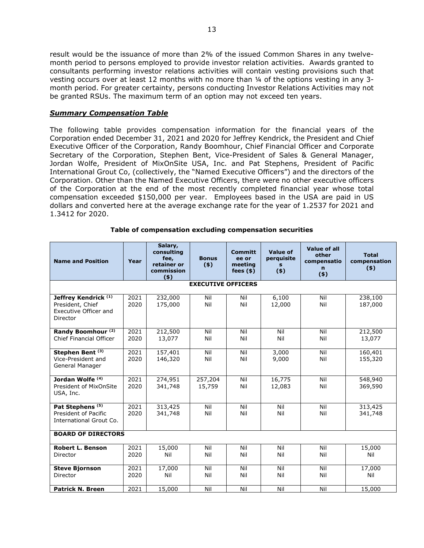result would be the issuance of more than 2% of the issued Common Shares in any twelvemonth period to persons employed to provide investor relation activities. Awards granted to consultants performing investor relations activities will contain vesting provisions such that vesting occurs over at least 12 months with no more than ¼ of the options vesting in any 3 month period. For greater certainty, persons conducting Investor Relations Activities may not be granted RSUs. The maximum term of an option may not exceed ten years.

#### *Summary Compensation Table*

The following table provides compensation information for the financial years of the Corporation ended December 31, 2021 and 2020 for Jeffrey Kendrick, the President and Chief Executive Officer of the Corporation, Randy Boomhour, Chief Financial Officer and Corporate Secretary of the Corporation, Stephen Bent, Vice-President of Sales & General Manager, Jordan Wolfe, President of MixOnSite USA, Inc. and Pat Stephens, President of Pacific International Grout Co, (collectively, the "Named Executive Officers") and the directors of the Corporation. Other than the Named Executive Officers, there were no other executive officers of the Corporation at the end of the most recently completed financial year whose total compensation exceeded \$150,000 per year. Employees based in the USA are paid in US dollars and converted here at the average exchange rate for the year of 1.2537 for 2021 and 1.3412 for 2020.

| <b>Name and Position</b>                                                                 | Year         | Salary,<br>consulting<br>fee,<br>retainer or<br>commission<br>(5) | <b>Bonus</b><br>$($ \$)   | <b>Committ</b><br>ee or<br>meeting<br>fees $(*)$ | <b>Value of</b><br>perquisite<br>s.<br>$($ \$) | <b>Value of all</b><br>other<br>compensatio<br>n<br>$($ \$) | <b>Total</b><br>compensation<br>$($ \$) |
|------------------------------------------------------------------------------------------|--------------|-------------------------------------------------------------------|---------------------------|--------------------------------------------------|------------------------------------------------|-------------------------------------------------------------|-----------------------------------------|
|                                                                                          |              |                                                                   | <b>EXECUTIVE OFFICERS</b> |                                                  |                                                |                                                             |                                         |
| Jeffrey Kendrick <sup>(1)</sup><br>President, Chief<br>Executive Officer and<br>Director | 2021<br>2020 | 232,000<br>175,000                                                | Nil<br>Nil                | Nil<br>Nil                                       | 6,100<br>12,000                                | Nil<br>Nil                                                  | 238,100<br>187,000                      |
| Randy Boomhour <sup>(2)</sup><br><b>Chief Financial Officer</b>                          | 2021<br>2020 | 212,500<br>13,077                                                 | Nil<br>Nil                | Nil<br>Nil                                       | Nil<br>Nil                                     | Nil<br>Nil                                                  | 212,500<br>13,077                       |
| Stephen Bent <sup>(3)</sup><br>Vice-President and<br>General Manager                     | 2021<br>2020 | 157,401<br>146,320                                                | Nil<br>Nil                | Nil<br>Nil                                       | 3,000<br>9,000                                 | Nil<br>Nil                                                  | 160,401<br>155,320                      |
| Jordan Wolfe <sup>(4)</sup><br>President of MixOnSite<br>USA, Inc.                       | 2021<br>2020 | 274,951<br>341,748                                                | 257,204<br>15,759         | Nil<br>Nil                                       | 16,775<br>12,083                               | Nil<br>Nil                                                  | 548,940<br>369,590                      |
| Pat Stephens <sup>(5)</sup><br>President of Pacific<br>International Grout Co.           | 2021<br>2020 | 313,425<br>341,748                                                | Nil<br>Nil                | Nil<br>Nil                                       | Nil<br>Nil                                     | Nil<br>Nil                                                  | 313,425<br>341,748                      |
| <b>BOARD OF DIRECTORS</b>                                                                |              |                                                                   |                           |                                                  |                                                |                                                             |                                         |
| <b>Robert L. Benson</b><br>Director                                                      | 2021<br>2020 | 15,000<br>Nil                                                     | Nil<br>Nil                | Nil<br>Nil                                       | Nil<br>Nil                                     | Nil<br>Nil                                                  | 15,000<br>Nil                           |
| <b>Steve Biornson</b><br>Director                                                        | 2021<br>2020 | 17,000<br>Nil                                                     | Nil<br>Nil                | Nil<br>Nil                                       | Nil<br>Nil                                     | Nil<br>Nil                                                  | 17,000<br>Nil                           |
| <b>Patrick N. Breen</b>                                                                  | 2021         | 15,000                                                            | Nil                       | Nil                                              | Nil                                            | Nil                                                         | 15,000                                  |

#### **Table of compensation excluding compensation securities**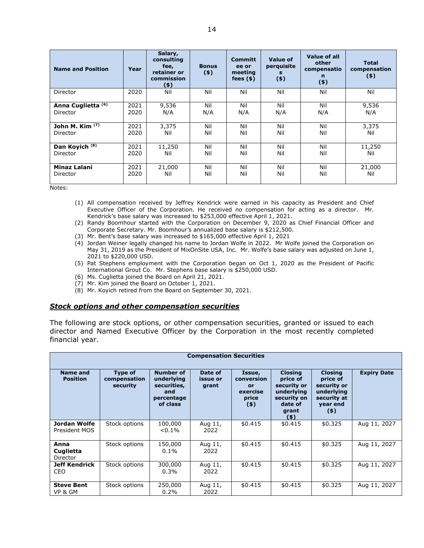| <b>Name and Position</b>      | Year | Salary,<br>consulting<br>fee,<br>retainer or<br>commission<br>(5) | <b>Bonus</b><br>$($ \$) | <b>Committ</b><br>ee or<br>meeting<br>fees $(*)$ | Value of<br>perquisite<br>s<br>$($ \$) | Value of all<br>other<br>compensatio<br>n<br>$($ \$) | <b>Total</b><br>compensation<br>$(*)$ |
|-------------------------------|------|-------------------------------------------------------------------|-------------------------|--------------------------------------------------|----------------------------------------|------------------------------------------------------|---------------------------------------|
| Director                      | 2020 | Nil                                                               | Nil                     | Nil                                              | Nil                                    | Nil                                                  | Nil                                   |
| Anna Cuglietta <sup>(6)</sup> | 2021 | 9,536                                                             | Nil                     | Nil                                              | Nil                                    | Nil                                                  | 9,536                                 |
| Director                      | 2020 | N/A                                                               | N/A                     | N/A                                              | N/A                                    | N/A                                                  | N/A                                   |
| John M. Kim $(7)$             | 2021 | 3,375                                                             | Nil                     | Nil                                              | Nil                                    | Nil                                                  | 3.375                                 |
| Director                      | 2020 | Nil                                                               | Nil                     | Nil                                              | Nil                                    | Nil                                                  | Nil                                   |
| Dan Koyich <sup>(8)</sup>     | 2021 | 11,250                                                            | Nil                     | Nil                                              | Nil                                    | Nil                                                  | 11,250                                |
| Director                      | 2020 | Nil                                                               | Nil                     | Nil                                              | Nil                                    | Nil                                                  | Nil                                   |
| <b>Minaz Lalani</b>           | 2021 | 21,000                                                            | Nil                     | Nil                                              | Nil                                    | Nil                                                  | 21,000                                |
| Director                      | 2020 | Nil                                                               | Nil                     | Nil                                              | Nil                                    | Nil                                                  | Nil                                   |

Notes:

- (1) All compensation received by Jeffrey Kendrick were earned in his capacity as President and Chief Executive Officer of the Corporation. He received no compensation for acting as a director. Mr. Kendrick's base salary was increased to \$253,000 effective April 1, 2021.
- (2) Randy Boomhour started with the Corporation on December 9, 2020 as Chief Financial Officer and Corporate Secretary. Mr. Boomhour's annualized base salary is \$212,500.
- (3) Mr. Bent's base salary was increased to \$165,000 effective April 1, 2021
- (4) Jordan Weiner legally changed his name to Jordan Wolfe in 2022. Mr Wolfe joined the Corporation on May 31, 2019 as the President of MixOnSite USA, Inc. Mr. Wolfe's base salary was adjusted on June 1, 2021 to \$220,000 USD.
- (5) Pat Stephens employment with the Corporation began on Oct 1, 2020 as the President of Pacific International Grout Co. Mr. Stephens base salary is \$250,000 USD.
- (6) Ms. Cuglietta joined the Board on April 21, 2021.
- (7) Mr. Kim joined the Board on October 1, 2021.
- (8) Mr. Koyich retired from the Board on September 30, 2021.

### *Stock options and other compensation securities*

The following are stock options, or other compensation securities, granted or issued to each director and Named Executive Officer by the Corporation in the most recently completed financial year.

| <b>Compensation Securities</b>     |                                            |                                                                                |                              |                                                            |                                                                                                       |                                                                                               |                    |  |
|------------------------------------|--------------------------------------------|--------------------------------------------------------------------------------|------------------------------|------------------------------------------------------------|-------------------------------------------------------------------------------------------------------|-----------------------------------------------------------------------------------------------|--------------------|--|
| <b>Name and</b><br><b>Position</b> | <b>Type of</b><br>compensation<br>security | <b>Number of</b><br>underlying<br>securities,<br>and<br>percentage<br>of class | Date of<br>issue or<br>grant | Issue,<br>conversion<br>or<br>exercise<br>price<br>$($ \$) | <b>Closing</b><br>price of<br>security or<br>underlying<br>security on<br>date of<br>grant<br>$($ \$) | <b>Closing</b><br>price of<br>security or<br>underlying<br>security at<br>year end<br>$($ \$) | <b>Expiry Date</b> |  |
| Jordan Wolfe<br>President MOS      | Stock options                              | 100,000<br>$0.1\%$                                                             | Aug 11,<br>2022              | \$0.415                                                    | \$0.415                                                                                               | \$0.325                                                                                       | Aug 11, 2027       |  |
| Anna<br>Cuglietta<br>Director      | Stock options                              | 150,000<br>$0.1\%$                                                             | Aug 11,<br>2022              | \$0.415                                                    | \$0.415                                                                                               | \$0.325                                                                                       | Aug 11, 2027       |  |
| <b>Jeff Kendrick</b><br>CEO        | Stock options                              | 300,000<br>$0.3\%$                                                             | Aug 11,<br>2022              | \$0.415                                                    | \$0.415                                                                                               | \$0.325                                                                                       | Aug 11, 2027       |  |
| <b>Steve Bent</b><br>VP & GM       | Stock options                              | 250,000<br>0.2%                                                                | Aug 11,<br>2022              | \$0.415                                                    | \$0.415                                                                                               | \$0.325                                                                                       | Aug 11, 2027       |  |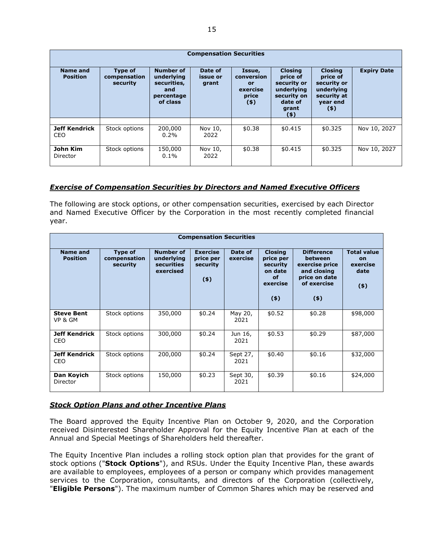| <b>Compensation Securities</b> |                                            |                                                                                |                              |                                                                   |                                                                                                       |                                                                                               |                    |  |
|--------------------------------|--------------------------------------------|--------------------------------------------------------------------------------|------------------------------|-------------------------------------------------------------------|-------------------------------------------------------------------------------------------------------|-----------------------------------------------------------------------------------------------|--------------------|--|
| Name and<br><b>Position</b>    | <b>Type of</b><br>compensation<br>security | <b>Number of</b><br>underlying<br>securities,<br>and<br>percentage<br>of class | Date of<br>issue or<br>grant | Issue,<br>conversion<br><b>or</b><br>exercise<br>price<br>$($ \$) | <b>Closing</b><br>price of<br>security or<br>underlying<br>security on<br>date of<br>grant<br>$($ \$) | <b>Closing</b><br>price of<br>security or<br>underlying<br>security at<br>year end<br>$($ \$) | <b>Expiry Date</b> |  |
|                                |                                            |                                                                                |                              |                                                                   |                                                                                                       |                                                                                               |                    |  |
| <b>Jeff Kendrick</b><br>CEO    | Stock options                              | 200,000<br>$0.2\%$                                                             | Nov 10,<br>2022              | \$0.38                                                            | \$0.415                                                                                               | \$0.325                                                                                       | Nov 10, 2027       |  |
| John Kim<br>Director           | Stock options                              | 150,000<br>$0.1\%$                                                             | Nov 10,<br>2022              | \$0.38                                                            | \$0.415                                                                                               | \$0.325                                                                                       | Nov 10, 2027       |  |

### *Exercise of Compensation Securities by Directors and Named Executive Officers*

The following are stock options, or other compensation securities, exercised by each Director and Named Executive Officer by the Corporation in the most recently completed financial year.

| <b>Compensation Securities</b>     |                                            |                                                                  |                                                     |                     |                                                                             |                                                                                                        |                                                       |  |
|------------------------------------|--------------------------------------------|------------------------------------------------------------------|-----------------------------------------------------|---------------------|-----------------------------------------------------------------------------|--------------------------------------------------------------------------------------------------------|-------------------------------------------------------|--|
| <b>Name and</b><br><b>Position</b> | <b>Type of</b><br>compensation<br>security | <b>Number of</b><br>underlying<br><b>securities</b><br>exercised | <b>Exercise</b><br>price per<br>security<br>$($ \$) | Date of<br>exercise | <b>Closing</b><br>price per<br>security<br>on date<br>of<br>exercise<br>(5) | <b>Difference</b><br>between<br>exercise price<br>and closing<br>price on date<br>of exercise<br>$(*)$ | <b>Total value</b><br>on<br>exercise<br>date<br>$(*)$ |  |
| <b>Steve Bent</b><br>VP & GM       | Stock options                              | 350,000                                                          | \$0.24                                              | May 20,<br>2021     | \$0.52                                                                      | \$0.28                                                                                                 | \$98,000                                              |  |
| <b>Jeff Kendrick</b><br>CEO        | Stock options                              | 300,000                                                          | \$0.24                                              | Jun 16,<br>2021     | \$0.53                                                                      | \$0.29                                                                                                 | \$87,000                                              |  |
| Jeff Kendrick<br>CEO               | Stock options                              | 200,000                                                          | \$0.24                                              | Sept 27,<br>2021    | \$0.40                                                                      | \$0.16                                                                                                 | \$32,000                                              |  |
| Dan Koyich<br>Director             | Stock options                              | 150,000                                                          | \$0.23                                              | Sept 30,<br>2021    | \$0.39                                                                      | \$0.16                                                                                                 | \$24,000                                              |  |

### *Stock Option Plans and other Incentive Plans*

The Board approved the Equity Incentive Plan on October 9, 2020, and the Corporation received Disinterested Shareholder Approval for the Equity Incentive Plan at each of the Annual and Special Meetings of Shareholders held thereafter.

The Equity Incentive Plan includes a rolling stock option plan that provides for the grant of stock options ("**Stock Options**"), and RSUs. Under the Equity Incentive Plan, these awards are available to employees, employees of a person or company which provides management services to the Corporation, consultants, and directors of the Corporation (collectively, "**Eligible Persons**"). The maximum number of Common Shares which may be reserved and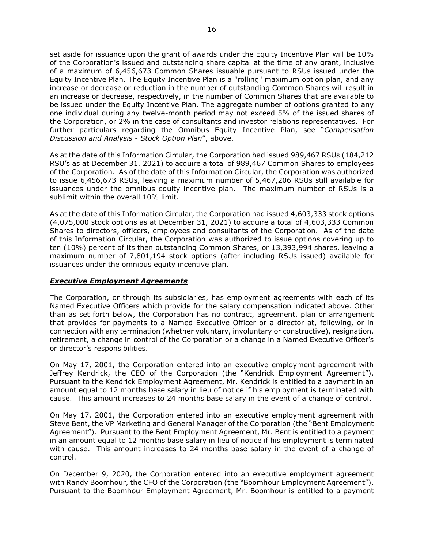set aside for issuance upon the grant of awards under the Equity Incentive Plan will be 10% of the Corporation's issued and outstanding share capital at the time of any grant, inclusive of a maximum of 6,456,673 Common Shares issuable pursuant to RSUs issued under the Equity Incentive Plan. The Equity Incentive Plan is a "rolling" maximum option plan, and any increase or decrease or reduction in the number of outstanding Common Shares will result in an increase or decrease, respectively, in the number of Common Shares that are available to be issued under the Equity Incentive Plan. The aggregate number of options granted to any one individual during any twelve-month period may not exceed 5% of the issued shares of the Corporation, or 2% in the case of consultants and investor relations representatives. For further particulars regarding the Omnibus Equity Incentive Plan, see "*Compensation Discussion and Analysis - Stock Option Plan*", above.

As at the date of this Information Circular, the Corporation had issued 989,467 RSUs (184,212 RSU's as at December 31, 2021) to acquire a total of 989,467 Common Shares to employees of the Corporation. As of the date of this Information Circular, the Corporation was authorized to issue 6,456,673 RSUs, leaving a maximum number of 5,467,206 RSUs still available for issuances under the omnibus equity incentive plan. The maximum number of RSUs is a sublimit within the overall 10% limit.

As at the date of this Information Circular, the Corporation had issued 4,603,333 stock options (4,075,000 stock options as at December 31, 2021) to acquire a total of 4,603,333 Common Shares to directors, officers, employees and consultants of the Corporation. As of the date of this Information Circular, the Corporation was authorized to issue options covering up to ten (10%) percent of its then outstanding Common Shares, or 13,393,994 shares, leaving a maximum number of 7,801,194 stock options (after including RSUs issued) available for issuances under the omnibus equity incentive plan.

### *Executive Employment Agreements*

The Corporation, or through its subsidiaries, has employment agreements with each of its Named Executive Officers which provide for the salary compensation indicated above. Other than as set forth below, the Corporation has no contract, agreement, plan or arrangement that provides for payments to a Named Executive Officer or a director at, following, or in connection with any termination (whether voluntary, involuntary or constructive), resignation, retirement, a change in control of the Corporation or a change in a Named Executive Officer's or director's responsibilities.

On May 17, 2001, the Corporation entered into an executive employment agreement with Jeffrey Kendrick, the CEO of the Corporation (the "Kendrick Employment Agreement"). Pursuant to the Kendrick Employment Agreement, Mr. Kendrick is entitled to a payment in an amount equal to 12 months base salary in lieu of notice if his employment is terminated with cause. This amount increases to 24 months base salary in the event of a change of control.

On May 17, 2001, the Corporation entered into an executive employment agreement with Steve Bent, the VP Marketing and General Manager of the Corporation (the "Bent Employment Agreement"). Pursuant to the Bent Employment Agreement, Mr. Bent is entitled to a payment in an amount equal to 12 months base salary in lieu of notice if his employment is terminated with cause. This amount increases to 24 months base salary in the event of a change of control.

On December 9, 2020, the Corporation entered into an executive employment agreement with Randy Boomhour, the CFO of the Corporation (the "Boomhour Employment Agreement"). Pursuant to the Boomhour Employment Agreement, Mr. Boomhour is entitled to a payment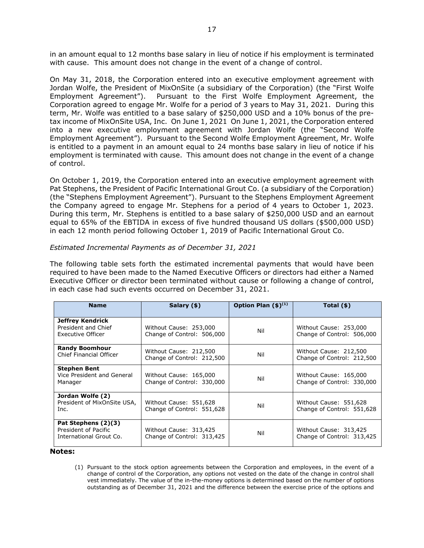in an amount equal to 12 months base salary in lieu of notice if his employment is terminated with cause. This amount does not change in the event of a change of control.

On May 31, 2018, the Corporation entered into an executive employment agreement with Jordan Wolfe, the President of MixOnSite (a subsidiary of the Corporation) (the "First Wolfe Employment Agreement"). Pursuant to the First Wolfe Employment Agreement, the Corporation agreed to engage Mr. Wolfe for a period of 3 years to May 31, 2021. During this term, Mr. Wolfe was entitled to a base salary of \$250,000 USD and a 10% bonus of the pretax income of MixOnSite USA, Inc. On June 1, 2021 On June 1, 2021, the Corporation entered into a new executive employment agreement with Jordan Wolfe (the "Second Wolfe Employment Agreement"). Pursuant to the Second Wolfe Employment Agreement, Mr. Wolfe is entitled to a payment in an amount equal to 24 months base salary in lieu of notice if his employment is terminated with cause. This amount does not change in the event of a change of control.

On October 1, 2019, the Corporation entered into an executive employment agreement with Pat Stephens, the President of Pacific International Grout Co. (a subsidiary of the Corporation) (the "Stephens Employment Agreement"). Pursuant to the Stephens Employment Agreement the Company agreed to engage Mr. Stephens for a period of 4 years to October 1, 2023. During this term, Mr. Stephens is entitled to a base salary of \$250,000 USD and an earnout equal to 65% of the EBTIDA in excess of five hundred thousand US dollars (\$500,000 USD) in each 12 month period following October 1, 2019 of Pacific International Grout Co.

### *Estimated Incremental Payments as of December 31, 2021*

The following table sets forth the estimated incremental payments that would have been required to have been made to the Named Executive Officers or directors had either a Named Executive Officer or director been terminated without cause or following a change of control, in each case had such events occurred on December 31, 2021.

| <b>Name</b>                                                            | Salary (\$)                                          | Option Plan $(\$)^{(1)}$ | Total $(\$)$                                         |
|------------------------------------------------------------------------|------------------------------------------------------|--------------------------|------------------------------------------------------|
| <b>Jeffrey Kendrick</b><br>President and Chief<br>Executive Officer    | Without Cause: 253,000<br>Change of Control: 506,000 | Nil                      | Without Cause: 253,000<br>Change of Control: 506,000 |
| <b>Randy Boomhour</b><br>Chief Financial Officer                       | Without Cause: 212,500<br>Change of Control: 212,500 | Nil                      | Without Cause: 212,500<br>Change of Control: 212,500 |
| <b>Stephen Bent</b><br>Vice President and General<br>Manager           | Without Cause: 165,000<br>Change of Control: 330,000 | Nil                      | Without Cause: 165,000<br>Change of Control: 330,000 |
| Jordan Wolfe (2)<br>President of MixOnSite USA,<br>Inc.                | Without Cause: 551,628<br>Change of Control: 551,628 | Nil                      | Without Cause: 551,628<br>Change of Control: 551,628 |
| Pat Stephens (2)(3)<br>President of Pacific<br>International Grout Co. | Without Cause: 313,425<br>Change of Control: 313,425 | Nil                      | Without Cause: 313,425<br>Change of Control: 313,425 |

#### **Notes:**

(1) Pursuant to the stock option agreements between the Corporation and employees, in the event of a change of control of the Corporation, any options not vested on the date of the change in control shall vest immediately. The value of the in-the-money options is determined based on the number of options outstanding as of December 31, 2021 and the difference between the exercise price of the options and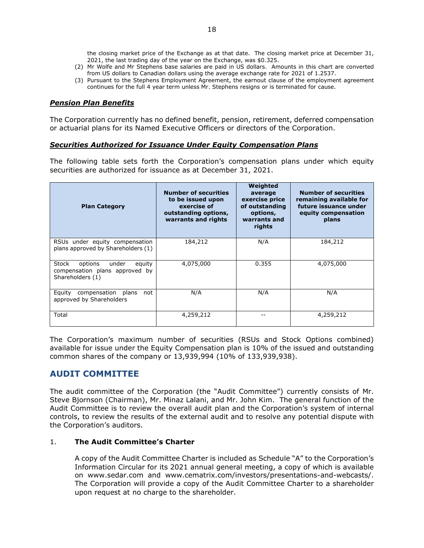the closing market price of the Exchange as at that date. The closing market price at December 31, 2021, the last trading day of the year on the Exchange, was \$0.325.

- (2) Mr Wolfe and Mr Stephens base salaries are paid in US dollars. Amounts in this chart are converted from US dollars to Canadian dollars using the average exchange rate for 2021 of 1.2537.
- (3) Pursuant to the Stephens Employment Agreement, the earnout clause of the employment agreement continues for the full 4 year term unless Mr. Stephens resigns or is terminated for cause.

#### *Pension Plan Benefits*

The Corporation currently has no defined benefit, pension, retirement, deferred compensation or actuarial plans for its Named Executive Officers or directors of the Corporation.

#### *Securities Authorized for Issuance Under Equity Compensation Plans*

The following table sets forth the Corporation's compensation plans under which equity securities are authorized for issuance as at December 31, 2021.

| <b>Plan Category</b>                                                                      | <b>Number of securities</b><br>to be issued upon<br>exercise of<br>outstanding options,<br>warrants and rights | Weighted<br>average<br>exercise price<br>of outstanding<br>options,<br>warrants and<br>rights | <b>Number of securities</b><br>remaining available for<br>future issuance under<br>equity compensation<br>plans |
|-------------------------------------------------------------------------------------------|----------------------------------------------------------------------------------------------------------------|-----------------------------------------------------------------------------------------------|-----------------------------------------------------------------------------------------------------------------|
| RSUs under equity compensation<br>plans approved by Shareholders (1)                      | 184,212                                                                                                        | N/A                                                                                           | 184,212                                                                                                         |
| Stock<br>under<br>options<br>equity<br>compensation plans approved by<br>Shareholders (1) | 4,075,000                                                                                                      | 0.355                                                                                         | 4,075,000                                                                                                       |
| Equity<br>compensation<br>plans<br>not<br>approved by Shareholders                        | N/A                                                                                                            | N/A                                                                                           | N/A                                                                                                             |
| Total                                                                                     | 4,259,212                                                                                                      |                                                                                               | 4,259,212                                                                                                       |

The Corporation's maximum number of securities (RSUs and Stock Options combined) available for issue under the Equity Compensation plan is 10% of the issued and outstanding common shares of the company or 13,939,994 (10% of 133,939,938).

# **AUDIT COMMITTEE**

The audit committee of the Corporation (the "Audit Committee") currently consists of Mr. Steve Bjornson (Chairman), Mr. Minaz Lalani, and Mr. John Kim. The general function of the Audit Committee is to review the overall audit plan and the Corporation's system of internal controls, to review the results of the external audit and to resolve any potential dispute with the Corporation's auditors.

#### 1. **The Audit Committee's Charter**

A copy of the Audit Committee Charter is included as Schedule "A" to the Corporation's Information Circular for its 2021 annual general meeting, a copy of which is available on www.sedar.com and www.cematrix.com/investors/presentations-and-webcasts/. The Corporation will provide a copy of the Audit Committee Charter to a shareholder upon request at no charge to the shareholder.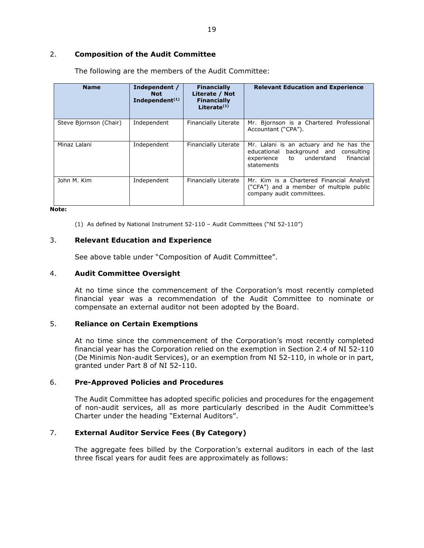#### 2. **Composition of the Audit Committee**

| <b>Name</b>            | Independent /<br><b>Not</b><br>Independent <sup>(1)</sup> | <b>Financially</b><br>Literate / Not<br><b>Financially</b><br>Literate $(1)$ | <b>Relevant Education and Experience</b>                                                                                                      |
|------------------------|-----------------------------------------------------------|------------------------------------------------------------------------------|-----------------------------------------------------------------------------------------------------------------------------------------------|
| Steve Bjornson (Chair) | Independent                                               | Financially Literate                                                         | Mr. Bjornson is a Chartered Professional<br>Accountant ("CPA").                                                                               |
| Minaz Lalani           | Independent                                               | Financially Literate                                                         | Mr. Lalani is an actuary and he has the<br>background and<br>educational<br>consulting<br>financial<br>experience to understand<br>statements |
| John M. Kim            | Independent                                               | Financially Literate                                                         | Mr. Kim is a Chartered Financial Analyst<br>("CFA") and a member of multiple public<br>company audit committees.                              |

The following are the members of the Audit Committee:

#### **Note:**

(1) As defined by National Instrument 52-110 – Audit Committees ("NI 52-110")

#### 3. **Relevant Education and Experience**

See above table under "Composition of Audit Committee".

#### 4. **Audit Committee Oversight**

At no time since the commencement of the Corporation's most recently completed financial year was a recommendation of the Audit Committee to nominate or compensate an external auditor not been adopted by the Board.

#### 5. **Reliance on Certain Exemptions**

At no time since the commencement of the Corporation's most recently completed financial year has the Corporation relied on the exemption in Section 2.4 of NI 52-110 (De Minimis Non-audit Services), or an exemption from NI 52-110, in whole or in part, granted under Part 8 of NI 52-110.

#### 6. **Pre-Approved Policies and Procedures**

The Audit Committee has adopted specific policies and procedures for the engagement of non-audit services, all as more particularly described in the Audit Committee's Charter under the heading "External Auditors".

#### 7. **External Auditor Service Fees (By Category)**

The aggregate fees billed by the Corporation's external auditors in each of the last three fiscal years for audit fees are approximately as follows: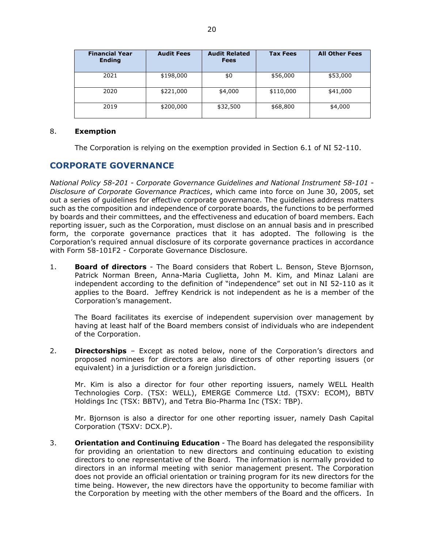| <b>Financial Year</b><br><b>Ending</b> | <b>Audit Fees</b> | <b>Audit Related</b><br><b>Fees</b> | <b>Tax Fees</b> | <b>All Other Fees</b> |
|----------------------------------------|-------------------|-------------------------------------|-----------------|-----------------------|
| 2021                                   | \$198,000         | \$0                                 | \$56,000        | \$53,000              |
| 2020                                   | \$221,000         | \$4,000                             | \$110,000       | \$41,000              |
| 2019                                   | \$200,000         | \$32,500                            | \$68,800        | \$4,000               |

#### 8. **Exemption**

The Corporation is relying on the exemption provided in Section 6.1 of NI 52-110.

# **CORPORATE GOVERNANCE**

*National Policy 58-201 - Corporate Governance Guidelines and National Instrument 58-101 - Disclosure of Corporate Governance Practices*, which came into force on June 30, 2005, set out a series of guidelines for effective corporate governance. The guidelines address matters such as the composition and independence of corporate boards, the functions to be performed by boards and their committees, and the effectiveness and education of board members. Each reporting issuer, such as the Corporation, must disclose on an annual basis and in prescribed form, the corporate governance practices that it has adopted. The following is the Corporation's required annual disclosure of its corporate governance practices in accordance with Form 58-101F2 - Corporate Governance Disclosure.

1. **Board of directors** - The Board considers that Robert L. Benson, Steve Bjornson, Patrick Norman Breen, Anna-Maria Cuglietta, John M. Kim, and Minaz Lalani are independent according to the definition of "independence" set out in NI 52-110 as it applies to the Board. Jeffrey Kendrick is not independent as he is a member of the Corporation's management.

The Board facilitates its exercise of independent supervision over management by having at least half of the Board members consist of individuals who are independent of the Corporation.

2. **Directorships** – Except as noted below, none of the Corporation's directors and proposed nominees for directors are also directors of other reporting issuers (or equivalent) in a jurisdiction or a foreign jurisdiction.

Mr. Kim is also a director for four other reporting issuers, namely WELL Health Technologies Corp. (TSX: WELL), EMERGE Commerce Ltd. (TSXV: ECOM), BBTV Holdings Inc (TSX: BBTV), and Tetra Bio-Pharma Inc (TSX: TBP).

Mr. Bjornson is also a director for one other reporting issuer, namely Dash Capital Corporation (TSXV: DCX.P).

3. **Orientation and Continuing Education** - The Board has delegated the responsibility for providing an orientation to new directors and continuing education to existing directors to one representative of the Board. The information is normally provided to directors in an informal meeting with senior management present. The Corporation does not provide an official orientation or training program for its new directors for the time being. However, the new directors have the opportunity to become familiar with the Corporation by meeting with the other members of the Board and the officers. In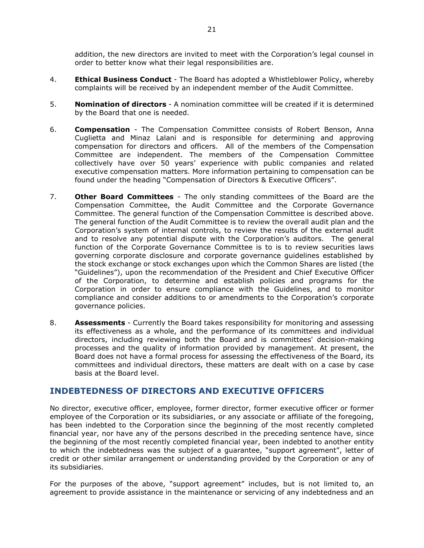addition, the new directors are invited to meet with the Corporation's legal counsel in order to better know what their legal responsibilities are.

- 4. **Ethical Business Conduct** The Board has adopted a Whistleblower Policy, whereby complaints will be received by an independent member of the Audit Committee.
- 5. **Nomination of directors** A nomination committee will be created if it is determined by the Board that one is needed.
- 6. **Compensation** The Compensation Committee consists of Robert Benson, Anna Cuglietta and Minaz Lalani and is responsible for determining and approving compensation for directors and officers. All of the members of the Compensation Committee are independent. The members of the Compensation Committee collectively have over 50 years' experience with public companies and related executive compensation matters. More information pertaining to compensation can be found under the heading "Compensation of Directors & Executive Officers".
- 7. **Other Board Committees** The only standing committees of the Board are the Compensation Committee, the Audit Committee and the Corporate Governance Committee. The general function of the Compensation Committee is described above. The general function of the Audit Committee is to review the overall audit plan and the Corporation's system of internal controls, to review the results of the external audit and to resolve any potential dispute with the Corporation's auditors. The general function of the Corporate Governance Committee is to is to review securities laws governing corporate disclosure and corporate governance guidelines established by the stock exchange or stock exchanges upon which the Common Shares are listed (the "Guidelines"), upon the recommendation of the President and Chief Executive Officer of the Corporation, to determine and establish policies and programs for the Corporation in order to ensure compliance with the Guidelines, and to monitor compliance and consider additions to or amendments to the Corporation's corporate governance policies.
- 8. **Assessments** Currently the Board takes responsibility for monitoring and assessing its effectiveness as a whole, and the performance of its committees and individual directors, including reviewing both the Board and is committees' decision-making processes and the quality of information provided by management. At present, the Board does not have a formal process for assessing the effectiveness of the Board, its committees and individual directors, these matters are dealt with on a case by case basis at the Board level.

# **INDEBTEDNESS OF DIRECTORS AND EXECUTIVE OFFICERS**

No director, executive officer, employee, former director, former executive officer or former employee of the Corporation or its subsidiaries, or any associate or affiliate of the foregoing, has been indebted to the Corporation since the beginning of the most recently completed financial year, nor have any of the persons described in the preceding sentence have, since the beginning of the most recently completed financial year, been indebted to another entity to which the indebtedness was the subject of a guarantee, "support agreement", letter of credit or other similar arrangement or understanding provided by the Corporation or any of its subsidiaries.

For the purposes of the above, "support agreement" includes, but is not limited to, an agreement to provide assistance in the maintenance or servicing of any indebtedness and an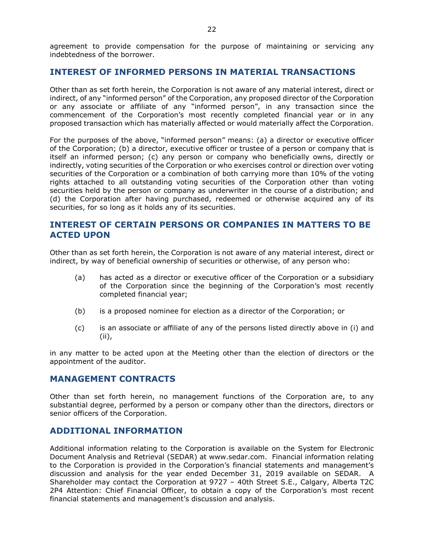agreement to provide compensation for the purpose of maintaining or servicing any indebtedness of the borrower.

## **INTEREST OF INFORMED PERSONS IN MATERIAL TRANSACTIONS**

Other than as set forth herein, the Corporation is not aware of any material interest, direct or indirect, of any "informed person" of the Corporation, any proposed director of the Corporation or any associate or affiliate of any "informed person", in any transaction since the commencement of the Corporation's most recently completed financial year or in any proposed transaction which has materially affected or would materially affect the Corporation.

For the purposes of the above, "informed person" means: (a) a director or executive officer of the Corporation; (b) a director, executive officer or trustee of a person or company that is itself an informed person; (c) any person or company who beneficially owns, directly or indirectly, voting securities of the Corporation or who exercises control or direction over voting securities of the Corporation or a combination of both carrying more than 10% of the voting rights attached to all outstanding voting securities of the Corporation other than voting securities held by the person or company as underwriter in the course of a distribution; and (d) the Corporation after having purchased, redeemed or otherwise acquired any of its securities, for so long as it holds any of its securities.

# **INTEREST OF CERTAIN PERSONS OR COMPANIES IN MATTERS TO BE ACTED UPON**

Other than as set forth herein, the Corporation is not aware of any material interest, direct or indirect, by way of beneficial ownership of securities or otherwise, of any person who:

- (a) has acted as a director or executive officer of the Corporation or a subsidiary of the Corporation since the beginning of the Corporation's most recently completed financial year;
- (b) is a proposed nominee for election as a director of the Corporation; or
- (c) is an associate or affiliate of any of the persons listed directly above in (i) and (ii),

in any matter to be acted upon at the Meeting other than the election of directors or the appointment of the auditor.

### **MANAGEMENT CONTRACTS**

Other than set forth herein, no management functions of the Corporation are, to any substantial degree, performed by a person or company other than the directors, directors or senior officers of the Corporation.

# **ADDITIONAL INFORMATION**

Additional information relating to the Corporation is available on the System for Electronic Document Analysis and Retrieval (SEDAR) at www.sedar.com. Financial information relating to the Corporation is provided in the Corporation's financial statements and management's discussion and analysis for the year ended December 31, 2019 available on SEDAR. A Shareholder may contact the Corporation at 9727 – 40th Street S.E., Calgary, Alberta T2C 2P4 Attention: Chief Financial Officer, to obtain a copy of the Corporation's most recent financial statements and management's discussion and analysis.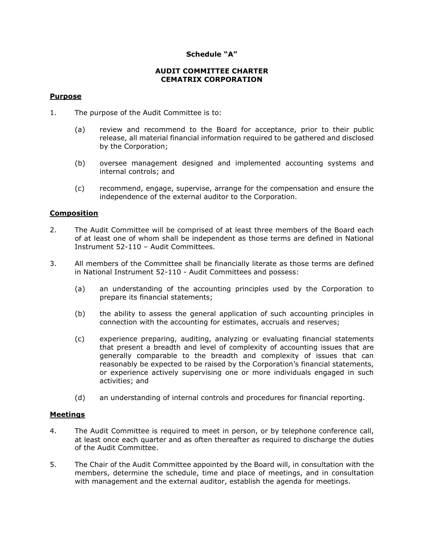## **Schedule "A"**

### **AUDIT COMMITTEE CHARTER CEMATRIX CORPORATION**

#### **Purpose**

- 1. The purpose of the Audit Committee is to:
	- (a) review and recommend to the Board for acceptance, prior to their public release, all material financial information required to be gathered and disclosed by the Corporation;
	- (b) oversee management designed and implemented accounting systems and internal controls; and
	- (c) recommend, engage, supervise, arrange for the compensation and ensure the independence of the external auditor to the Corporation.

### **Composition**

- 2. The Audit Committee will be comprised of at least three members of the Board each of at least one of whom shall be independent as those terms are defined in National Instrument 52-110 – Audit Committees.
- 3. All members of the Committee shall be financially literate as those terms are defined in National Instrument 52-110 - Audit Committees and possess:
	- (a) an understanding of the accounting principles used by the Corporation to prepare its financial statements;
	- (b) the ability to assess the general application of such accounting principles in connection with the accounting for estimates, accruals and reserves;
	- (c) experience preparing, auditing, analyzing or evaluating financial statements that present a breadth and level of complexity of accounting issues that are generally comparable to the breadth and complexity of issues that can reasonably be expected to be raised by the Corporation's financial statements, or experience actively supervising one or more individuals engaged in such activities; and
	- (d) an understanding of internal controls and procedures for financial reporting.

#### **Meetings**

- 4. The Audit Committee is required to meet in person, or by telephone conference call, at least once each quarter and as often thereafter as required to discharge the duties of the Audit Committee.
- 5. The Chair of the Audit Committee appointed by the Board will, in consultation with the members, determine the schedule, time and place of meetings, and in consultation with management and the external auditor, establish the agenda for meetings.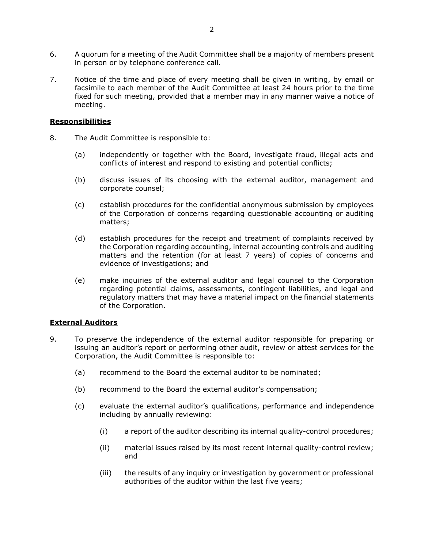- 6. A quorum for a meeting of the Audit Committee shall be a majority of members present in person or by telephone conference call.
- 7. Notice of the time and place of every meeting shall be given in writing, by email or facsimile to each member of the Audit Committee at least 24 hours prior to the time fixed for such meeting, provided that a member may in any manner waive a notice of meeting.

#### **Responsibilities**

- 8. The Audit Committee is responsible to:
	- (a) independently or together with the Board, investigate fraud, illegal acts and conflicts of interest and respond to existing and potential conflicts;
	- (b) discuss issues of its choosing with the external auditor, management and corporate counsel;
	- (c) establish procedures for the confidential anonymous submission by employees of the Corporation of concerns regarding questionable accounting or auditing matters;
	- (d) establish procedures for the receipt and treatment of complaints received by the Corporation regarding accounting, internal accounting controls and auditing matters and the retention (for at least 7 years) of copies of concerns and evidence of investigations; and
	- (e) make inquiries of the external auditor and legal counsel to the Corporation regarding potential claims, assessments, contingent liabilities, and legal and regulatory matters that may have a material impact on the financial statements of the Corporation.

### **External Auditors**

- 9. To preserve the independence of the external auditor responsible for preparing or issuing an auditor's report or performing other audit, review or attest services for the Corporation, the Audit Committee is responsible to:
	- (a) recommend to the Board the external auditor to be nominated;
	- (b) recommend to the Board the external auditor's compensation;
	- (c) evaluate the external auditor's qualifications, performance and independence including by annually reviewing:
		- (i) a report of the auditor describing its internal quality-control procedures;
		- (ii) material issues raised by its most recent internal quality-control review; and
		- (iii) the results of any inquiry or investigation by government or professional authorities of the auditor within the last five years;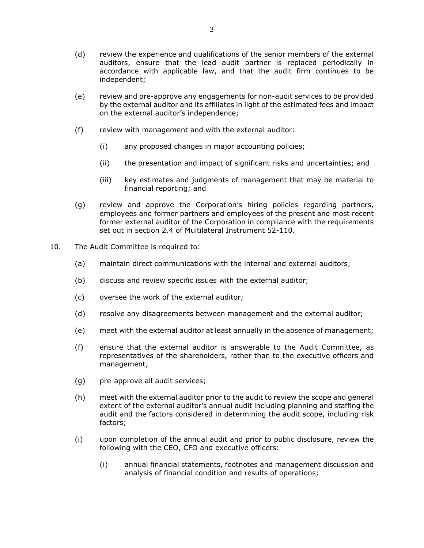- (d) review the experience and qualifications of the senior members of the external auditors, ensure that the lead audit partner is replaced periodically in accordance with applicable law, and that the audit firm continues to be independent;
- (e) review and pre-approve any engagements for non-audit services to be provided by the external auditor and its affiliates in light of the estimated fees and impact on the external auditor's independence;
- (f) review with management and with the external auditor:
	- (i) any proposed changes in major accounting policies;
	- (ii) the presentation and impact of significant risks and uncertainties; and
	- (iii) key estimates and judgments of management that may be material to financial reporting; and
- (g) review and approve the Corporation's hiring policies regarding partners, employees and former partners and employees of the present and most recent former external auditor of the Corporation in compliance with the requirements set out in section 2.4 of Multilateral Instrument 52-110.
- 10. The Audit Committee is required to:
	- (a) maintain direct communications with the internal and external auditors;
	- (b) discuss and review specific issues with the external auditor;
	- (c) oversee the work of the external auditor;
	- (d) resolve any disagreements between management and the external auditor;
	- (e) meet with the external auditor at least annually in the absence of management;
	- (f) ensure that the external auditor is answerable to the Audit Committee, as representatives of the shareholders, rather than to the executive officers and management;
	- (g) pre-approve all audit services;
	- (h) meet with the external auditor prior to the audit to review the scope and general extent of the external auditor's annual audit including planning and staffing the audit and the factors considered in determining the audit scope, including risk factors;
	- (i) upon completion of the annual audit and prior to public disclosure, review the following with the CEO, CFO and executive officers:
		- (i) annual financial statements, footnotes and management discussion and analysis of financial condition and results of operations;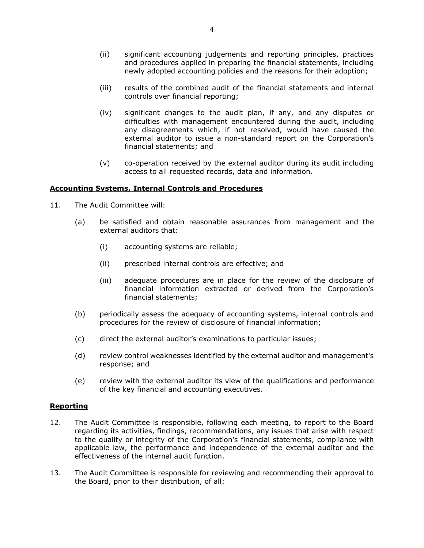- (ii) significant accounting judgements and reporting principles, practices and procedures applied in preparing the financial statements, including newly adopted accounting policies and the reasons for their adoption;
- (iii) results of the combined audit of the financial statements and internal controls over financial reporting;
- (iv) significant changes to the audit plan, if any, and any disputes or difficulties with management encountered during the audit, including any disagreements which, if not resolved, would have caused the external auditor to issue a non-standard report on the Corporation's financial statements; and
- (v) co-operation received by the external auditor during its audit including access to all requested records, data and information.

#### **Accounting Systems, Internal Controls and Procedures**

- 11. The Audit Committee will:
	- (a) be satisfied and obtain reasonable assurances from management and the external auditors that:
		- (i) accounting systems are reliable;
		- (ii) prescribed internal controls are effective; and
		- (iii) adequate procedures are in place for the review of the disclosure of financial information extracted or derived from the Corporation's financial statements;
	- (b) periodically assess the adequacy of accounting systems, internal controls and procedures for the review of disclosure of financial information;
	- (c) direct the external auditor's examinations to particular issues;
	- (d) review control weaknesses identified by the external auditor and management's response; and
	- (e) review with the external auditor its view of the qualifications and performance of the key financial and accounting executives.

#### **Reporting**

- 12. The Audit Committee is responsible, following each meeting, to report to the Board regarding its activities, findings, recommendations, any issues that arise with respect to the quality or integrity of the Corporation's financial statements, compliance with applicable law, the performance and independence of the external auditor and the effectiveness of the internal audit function.
- 13. The Audit Committee is responsible for reviewing and recommending their approval to the Board, prior to their distribution, of all: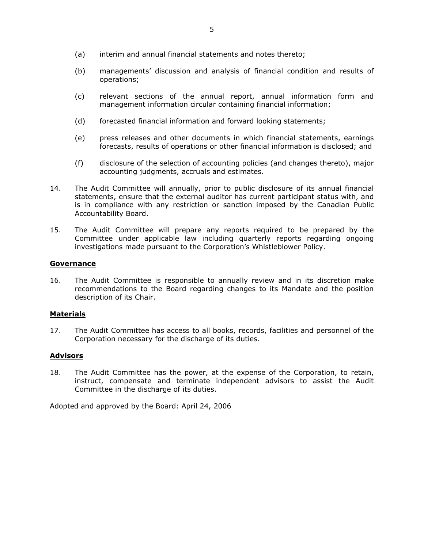- (a) interim and annual financial statements and notes thereto;
- (b) managements' discussion and analysis of financial condition and results of operations;
- (c) relevant sections of the annual report, annual information form and management information circular containing financial information;
- (d) forecasted financial information and forward looking statements;
- (e) press releases and other documents in which financial statements, earnings forecasts, results of operations or other financial information is disclosed; and
- (f) disclosure of the selection of accounting policies (and changes thereto), major accounting judgments, accruals and estimates.
- 14. The Audit Committee will annually, prior to public disclosure of its annual financial statements, ensure that the external auditor has current participant status with, and is in compliance with any restriction or sanction imposed by the Canadian Public Accountability Board.
- 15. The Audit Committee will prepare any reports required to be prepared by the Committee under applicable law including quarterly reports regarding ongoing investigations made pursuant to the Corporation's Whistleblower Policy.

#### **Governance**

16. The Audit Committee is responsible to annually review and in its discretion make recommendations to the Board regarding changes to its Mandate and the position description of its Chair.

#### **Materials**

17. The Audit Committee has access to all books, records, facilities and personnel of the Corporation necessary for the discharge of its duties.

### **Advisors**

18. The Audit Committee has the power, at the expense of the Corporation, to retain, instruct, compensate and terminate independent advisors to assist the Audit Committee in the discharge of its duties.

Adopted and approved by the Board: April 24, 2006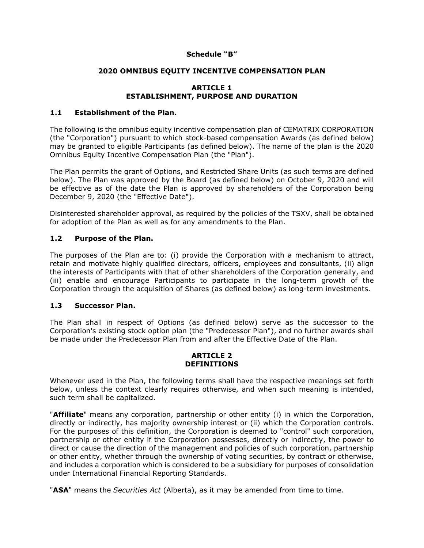## **Schedule "B"**

## **2020 OMNIBUS EQUITY INCENTIVE COMPENSATION PLAN**

## **ARTICLE 1 ESTABLISHMENT, PURPOSE AND DURATION**

## **1.1 Establishment of the Plan.**

The following is the omnibus equity incentive compensation plan of CEMATRIX CORPORATION (the "Corporation") pursuant to which stock-based compensation Awards (as defined below) may be granted to eligible Participants (as defined below). The name of the plan is the 2020 Omnibus Equity Incentive Compensation Plan (the "Plan").

The Plan permits the grant of Options, and Restricted Share Units (as such terms are defined below). The Plan was approved by the Board (as defined below) on October 9, 2020 and will be effective as of the date the Plan is approved by shareholders of the Corporation being December 9, 2020 (the "Effective Date").

Disinterested shareholder approval, as required by the policies of the TSXV, shall be obtained for adoption of the Plan as well as for any amendments to the Plan.

## **1.2 Purpose of the Plan.**

The purposes of the Plan are to: (i) provide the Corporation with a mechanism to attract, retain and motivate highly qualified directors, officers, employees and consultants, (ii) align the interests of Participants with that of other shareholders of the Corporation generally, and (iii) enable and encourage Participants to participate in the long-term growth of the Corporation through the acquisition of Shares (as defined below) as long-term investments.

### **1.3 Successor Plan.**

The Plan shall in respect of Options (as defined below) serve as the successor to the Corporation's existing stock option plan (the "Predecessor Plan"), and no further awards shall be made under the Predecessor Plan from and after the Effective Date of the Plan.

#### **ARTICLE 2 DEFINITIONS**

Whenever used in the Plan, the following terms shall have the respective meanings set forth below, unless the context clearly requires otherwise, and when such meaning is intended, such term shall be capitalized.

"**Affiliate**" means any corporation, partnership or other entity (i) in which the Corporation, directly or indirectly, has majority ownership interest or (ii) which the Corporation controls. For the purposes of this definition, the Corporation is deemed to "control" such corporation, partnership or other entity if the Corporation possesses, directly or indirectly, the power to direct or cause the direction of the management and policies of such corporation, partnership or other entity, whether through the ownership of voting securities, by contract or otherwise, and includes a corporation which is considered to be a subsidiary for purposes of consolidation under International Financial Reporting Standards.

"**ASA**" means the *Securities Act* (Alberta), as it may be amended from time to time.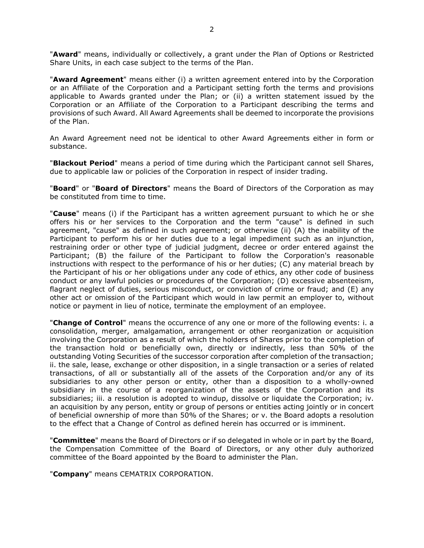"**Award**" means, individually or collectively, a grant under the Plan of Options or Restricted Share Units, in each case subject to the terms of the Plan.

"**Award Agreement**" means either (i) a written agreement entered into by the Corporation or an Affiliate of the Corporation and a Participant setting forth the terms and provisions applicable to Awards granted under the Plan; or (ii) a written statement issued by the Corporation or an Affiliate of the Corporation to a Participant describing the terms and provisions of such Award. All Award Agreements shall be deemed to incorporate the provisions of the Plan.

An Award Agreement need not be identical to other Award Agreements either in form or substance.

"**Blackout Period**" means a period of time during which the Participant cannot sell Shares, due to applicable law or policies of the Corporation in respect of insider trading.

"**Board**" or "**Board of Directors**" means the Board of Directors of the Corporation as may be constituted from time to time.

"**Cause**" means (i) if the Participant has a written agreement pursuant to which he or she offers his or her services to the Corporation and the term "cause" is defined in such agreement, "cause" as defined in such agreement; or otherwise (ii) (A) the inability of the Participant to perform his or her duties due to a legal impediment such as an injunction, restraining order or other type of judicial judgment, decree or order entered against the Participant; (B) the failure of the Participant to follow the Corporation's reasonable instructions with respect to the performance of his or her duties; (C) any material breach by the Participant of his or her obligations under any code of ethics, any other code of business conduct or any lawful policies or procedures of the Corporation; (D) excessive absenteeism, flagrant neglect of duties, serious misconduct, or conviction of crime or fraud; and (E) any other act or omission of the Participant which would in law permit an employer to, without notice or payment in lieu of notice, terminate the employment of an employee.

"**Change of Control**" means the occurrence of any one or more of the following events: i. a consolidation, merger, amalgamation, arrangement or other reorganization or acquisition involving the Corporation as a result of which the holders of Shares prior to the completion of the transaction hold or beneficially own, directly or indirectly, less than 50% of the outstanding Voting Securities of the successor corporation after completion of the transaction; ii. the sale, lease, exchange or other disposition, in a single transaction or a series of related transactions, of all or substantially all of the assets of the Corporation and/or any of its subsidiaries to any other person or entity, other than a disposition to a wholly-owned subsidiary in the course of a reorganization of the assets of the Corporation and its subsidiaries; iii. a resolution is adopted to windup, dissolve or liquidate the Corporation; iv. an acquisition by any person, entity or group of persons or entities acting jointly or in concert of beneficial ownership of more than 50% of the Shares; or v. the Board adopts a resolution to the effect that a Change of Control as defined herein has occurred or is imminent.

"**Committee**" means the Board of Directors or if so delegated in whole or in part by the Board, the Compensation Committee of the Board of Directors, or any other duly authorized committee of the Board appointed by the Board to administer the Plan.

"**Company**" means CEMATRIX CORPORATION.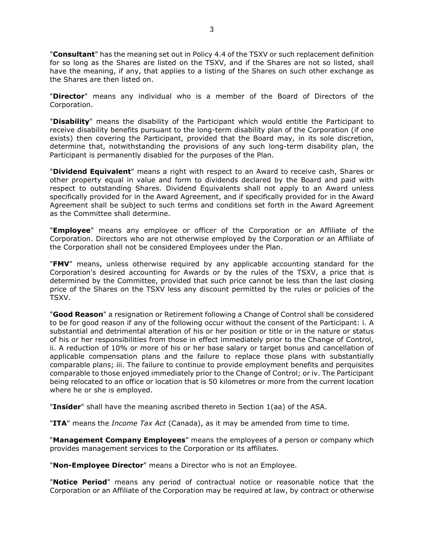"**Consultant**" has the meaning set out in Policy 4.4 of the TSXV or such replacement definition for so long as the Shares are listed on the TSXV, and if the Shares are not so listed, shall have the meaning, if any, that applies to a listing of the Shares on such other exchange as the Shares are then listed on.

"**Director**" means any individual who is a member of the Board of Directors of the Corporation.

"**Disability**" means the disability of the Participant which would entitle the Participant to receive disability benefits pursuant to the long-term disability plan of the Corporation (if one exists) then covering the Participant, provided that the Board may, in its sole discretion, determine that, notwithstanding the provisions of any such long-term disability plan, the Participant is permanently disabled for the purposes of the Plan.

"**Dividend Equivalent**" means a right with respect to an Award to receive cash, Shares or other property equal in value and form to dividends declared by the Board and paid with respect to outstanding Shares. Dividend Equivalents shall not apply to an Award unless specifically provided for in the Award Agreement, and if specifically provided for in the Award Agreement shall be subject to such terms and conditions set forth in the Award Agreement as the Committee shall determine.

"**Employee**" means any employee or officer of the Corporation or an Affiliate of the Corporation. Directors who are not otherwise employed by the Corporation or an Affiliate of the Corporation shall not be considered Employees under the Plan.

"**FMV**" means, unless otherwise required by any applicable accounting standard for the Corporation's desired accounting for Awards or by the rules of the TSXV, a price that is determined by the Committee, provided that such price cannot be less than the last closing price of the Shares on the TSXV less any discount permitted by the rules or policies of the TSXV.

"**Good Reason**" a resignation or Retirement following a Change of Control shall be considered to be for good reason if any of the following occur without the consent of the Participant: i. A substantial and detrimental alteration of his or her position or title or in the nature or status of his or her responsibilities from those in effect immediately prior to the Change of Control, ii. A reduction of 10% or more of his or her base salary or target bonus and cancellation of applicable compensation plans and the failure to replace those plans with substantially comparable plans; iii. The failure to continue to provide employment benefits and perquisites comparable to those enjoyed immediately prior to the Change of Control; or iv. The Participant being relocated to an office or location that is 50 kilometres or more from the current location where he or she is employed.

"**Insider**" shall have the meaning ascribed thereto in Section 1(aa) of the ASA.

"**ITA**" means the *Income Tax Act* (Canada), as it may be amended from time to time.

"**Management Company Employees**" means the employees of a person or company which provides management services to the Corporation or its affiliates.

"**Non-Employee Director**" means a Director who is not an Employee.

"**Notice Period**" means any period of contractual notice or reasonable notice that the Corporation or an Affiliate of the Corporation may be required at law, by contract or otherwise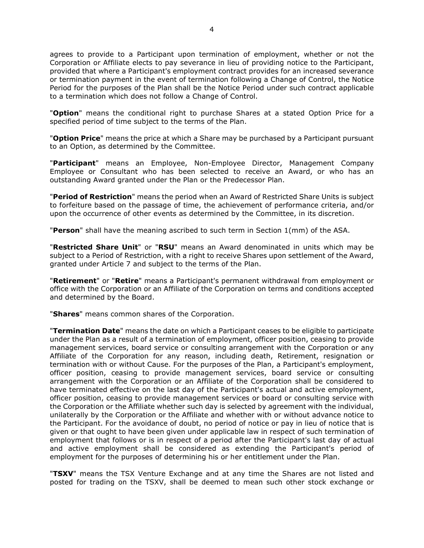agrees to provide to a Participant upon termination of employment, whether or not the Corporation or Affiliate elects to pay severance in lieu of providing notice to the Participant, provided that where a Participant's employment contract provides for an increased severance or termination payment in the event of termination following a Change of Control, the Notice Period for the purposes of the Plan shall be the Notice Period under such contract applicable to a termination which does not follow a Change of Control.

"**Option**" means the conditional right to purchase Shares at a stated Option Price for a specified period of time subject to the terms of the Plan.

"**Option Price**" means the price at which a Share may be purchased by a Participant pursuant to an Option, as determined by the Committee.

"**Participant**" means an Employee, Non-Employee Director, Management Company Employee or Consultant who has been selected to receive an Award, or who has an outstanding Award granted under the Plan or the Predecessor Plan.

"**Period of Restriction**" means the period when an Award of Restricted Share Units is subject to forfeiture based on the passage of time, the achievement of performance criteria, and/or upon the occurrence of other events as determined by the Committee, in its discretion.

"**Person**" shall have the meaning ascribed to such term in Section 1(mm) of the ASA.

"**Restricted Share Unit**" or "**RSU**" means an Award denominated in units which may be subject to a Period of Restriction, with a right to receive Shares upon settlement of the Award, granted under Article 7 and subject to the terms of the Plan.

"**Retirement**" or "**Retire**" means a Participant's permanent withdrawal from employment or office with the Corporation or an Affiliate of the Corporation on terms and conditions accepted and determined by the Board.

"**Shares**" means common shares of the Corporation.

"**Termination Date**" means the date on which a Participant ceases to be eligible to participate under the Plan as a result of a termination of employment, officer position, ceasing to provide management services, board service or consulting arrangement with the Corporation or any Affiliate of the Corporation for any reason, including death, Retirement, resignation or termination with or without Cause. For the purposes of the Plan, a Participant's employment, officer position, ceasing to provide management services, board service or consulting arrangement with the Corporation or an Affiliate of the Corporation shall be considered to have terminated effective on the last day of the Participant's actual and active employment, officer position, ceasing to provide management services or board or consulting service with the Corporation or the Affiliate whether such day is selected by agreement with the individual, unilaterally by the Corporation or the Affiliate and whether with or without advance notice to the Participant. For the avoidance of doubt, no period of notice or pay in lieu of notice that is given or that ought to have been given under applicable law in respect of such termination of employment that follows or is in respect of a period after the Participant's last day of actual and active employment shall be considered as extending the Participant's period of employment for the purposes of determining his or her entitlement under the Plan.

"**TSXV**" means the TSX Venture Exchange and at any time the Shares are not listed and posted for trading on the TSXV, shall be deemed to mean such other stock exchange or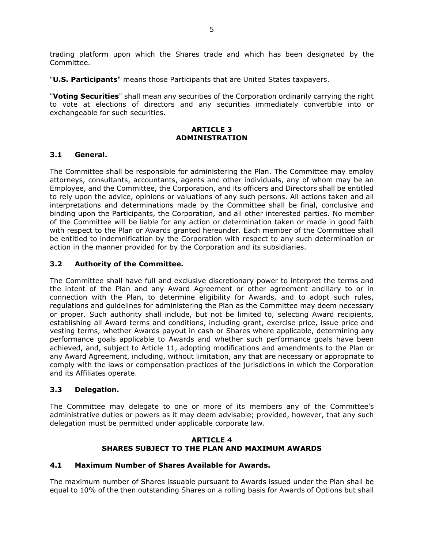trading platform upon which the Shares trade and which has been designated by the Committee.

"**U.S. Participants**" means those Participants that are United States taxpayers.

"**Voting Securities**" shall mean any securities of the Corporation ordinarily carrying the right to vote at elections of directors and any securities immediately convertible into or exchangeable for such securities.

## **ARTICLE 3 ADMINISTRATION**

## **3.1 General.**

The Committee shall be responsible for administering the Plan. The Committee may employ attorneys, consultants, accountants, agents and other individuals, any of whom may be an Employee, and the Committee, the Corporation, and its officers and Directors shall be entitled to rely upon the advice, opinions or valuations of any such persons. All actions taken and all interpretations and determinations made by the Committee shall be final, conclusive and binding upon the Participants, the Corporation, and all other interested parties. No member of the Committee will be liable for any action or determination taken or made in good faith with respect to the Plan or Awards granted hereunder. Each member of the Committee shall be entitled to indemnification by the Corporation with respect to any such determination or action in the manner provided for by the Corporation and its subsidiaries.

## **3.2 Authority of the Committee.**

The Committee shall have full and exclusive discretionary power to interpret the terms and the intent of the Plan and any Award Agreement or other agreement ancillary to or in connection with the Plan, to determine eligibility for Awards, and to adopt such rules, regulations and guidelines for administering the Plan as the Committee may deem necessary or proper. Such authority shall include, but not be limited to, selecting Award recipients, establishing all Award terms and conditions, including grant, exercise price, issue price and vesting terms, whether Awards payout in cash or Shares where applicable, determining any performance goals applicable to Awards and whether such performance goals have been achieved, and, subject to Article 11, adopting modifications and amendments to the Plan or any Award Agreement, including, without limitation, any that are necessary or appropriate to comply with the laws or compensation practices of the jurisdictions in which the Corporation and its Affiliates operate.

### **3.3 Delegation.**

The Committee may delegate to one or more of its members any of the Committee's administrative duties or powers as it may deem advisable; provided, however, that any such delegation must be permitted under applicable corporate law.

### **ARTICLE 4 SHARES SUBJECT TO THE PLAN AND MAXIMUM AWARDS**

### **4.1 Maximum Number of Shares Available for Awards.**

The maximum number of Shares issuable pursuant to Awards issued under the Plan shall be equal to 10% of the then outstanding Shares on a rolling basis for Awards of Options but shall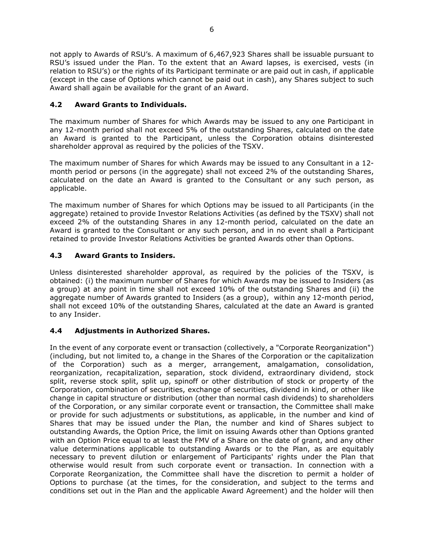not apply to Awards of RSU's. A maximum of 6,467,923 Shares shall be issuable pursuant to RSU's issued under the Plan. To the extent that an Award lapses, is exercised, vests (in relation to RSU's) or the rights of its Participant terminate or are paid out in cash, if applicable (except in the case of Options which cannot be paid out in cash), any Shares subject to such Award shall again be available for the grant of an Award.

# **4.2 Award Grants to Individuals.**

The maximum number of Shares for which Awards may be issued to any one Participant in any 12-month period shall not exceed 5% of the outstanding Shares, calculated on the date an Award is granted to the Participant, unless the Corporation obtains disinterested shareholder approval as required by the policies of the TSXV.

The maximum number of Shares for which Awards may be issued to any Consultant in a 12 month period or persons (in the aggregate) shall not exceed 2% of the outstanding Shares, calculated on the date an Award is granted to the Consultant or any such person, as applicable.

The maximum number of Shares for which Options may be issued to all Participants (in the aggregate) retained to provide Investor Relations Activities (as defined by the TSXV) shall not exceed 2% of the outstanding Shares in any 12-month period, calculated on the date an Award is granted to the Consultant or any such person, and in no event shall a Participant retained to provide Investor Relations Activities be granted Awards other than Options.

## **4.3 Award Grants to Insiders.**

Unless disinterested shareholder approval, as required by the policies of the TSXV, is obtained: (i) the maximum number of Shares for which Awards may be issued to Insiders (as a group) at any point in time shall not exceed 10% of the outstanding Shares and (ii) the aggregate number of Awards granted to Insiders (as a group), within any 12-month period, shall not exceed 10% of the outstanding Shares, calculated at the date an Award is granted to any Insider.

# **4.4 Adjustments in Authorized Shares.**

In the event of any corporate event or transaction (collectively, a "Corporate Reorganization") (including, but not limited to, a change in the Shares of the Corporation or the capitalization of the Corporation) such as a merger, arrangement, amalgamation, consolidation, reorganization, recapitalization, separation, stock dividend, extraordinary dividend, stock split, reverse stock split, split up, spinoff or other distribution of stock or property of the Corporation, combination of securities, exchange of securities, dividend in kind, or other like change in capital structure or distribution (other than normal cash dividends) to shareholders of the Corporation, or any similar corporate event or transaction, the Committee shall make or provide for such adjustments or substitutions, as applicable, in the number and kind of Shares that may be issued under the Plan, the number and kind of Shares subject to outstanding Awards, the Option Price, the limit on issuing Awards other than Options granted with an Option Price equal to at least the FMV of a Share on the date of grant, and any other value determinations applicable to outstanding Awards or to the Plan, as are equitably necessary to prevent dilution or enlargement of Participants' rights under the Plan that otherwise would result from such corporate event or transaction. In connection with a Corporate Reorganization, the Committee shall have the discretion to permit a holder of Options to purchase (at the times, for the consideration, and subject to the terms and conditions set out in the Plan and the applicable Award Agreement) and the holder will then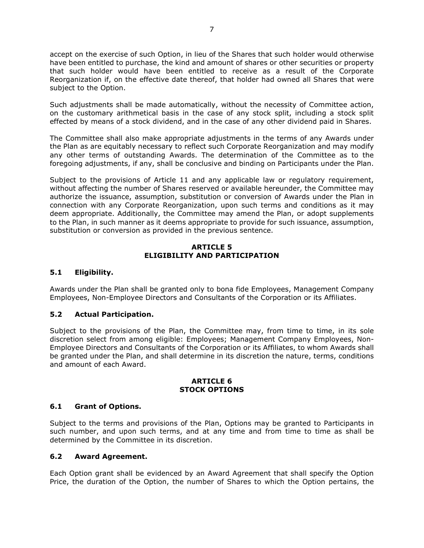accept on the exercise of such Option, in lieu of the Shares that such holder would otherwise have been entitled to purchase, the kind and amount of shares or other securities or property that such holder would have been entitled to receive as a result of the Corporate Reorganization if, on the effective date thereof, that holder had owned all Shares that were subject to the Option.

Such adjustments shall be made automatically, without the necessity of Committee action, on the customary arithmetical basis in the case of any stock split, including a stock split effected by means of a stock dividend, and in the case of any other dividend paid in Shares.

The Committee shall also make appropriate adjustments in the terms of any Awards under the Plan as are equitably necessary to reflect such Corporate Reorganization and may modify any other terms of outstanding Awards. The determination of the Committee as to the foregoing adjustments, if any, shall be conclusive and binding on Participants under the Plan.

Subject to the provisions of Article 11 and any applicable law or regulatory requirement, without affecting the number of Shares reserved or available hereunder, the Committee may authorize the issuance, assumption, substitution or conversion of Awards under the Plan in connection with any Corporate Reorganization, upon such terms and conditions as it may deem appropriate. Additionally, the Committee may amend the Plan, or adopt supplements to the Plan, in such manner as it deems appropriate to provide for such issuance, assumption, substitution or conversion as provided in the previous sentence.

## **ARTICLE 5 ELIGIBILITY AND PARTICIPATION**

## **5.1 Eligibility.**

Awards under the Plan shall be granted only to bona fide Employees, Management Company Employees, Non-Employee Directors and Consultants of the Corporation or its Affiliates.

## **5.2 Actual Participation.**

Subject to the provisions of the Plan, the Committee may, from time to time, in its sole discretion select from among eligible: Employees; Management Company Employees, Non-Employee Directors and Consultants of the Corporation or its Affiliates, to whom Awards shall be granted under the Plan, and shall determine in its discretion the nature, terms, conditions and amount of each Award.

#### **ARTICLE 6 STOCK OPTIONS**

## **6.1 Grant of Options.**

Subject to the terms and provisions of the Plan, Options may be granted to Participants in such number, and upon such terms, and at any time and from time to time as shall be determined by the Committee in its discretion.

## **6.2 Award Agreement.**

Each Option grant shall be evidenced by an Award Agreement that shall specify the Option Price, the duration of the Option, the number of Shares to which the Option pertains, the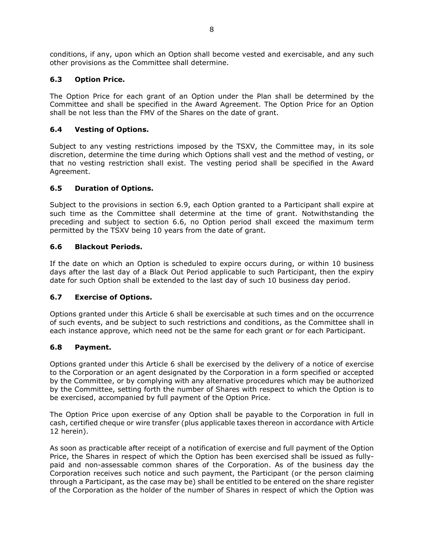conditions, if any, upon which an Option shall become vested and exercisable, and any such other provisions as the Committee shall determine.

## **6.3 Option Price.**

The Option Price for each grant of an Option under the Plan shall be determined by the Committee and shall be specified in the Award Agreement. The Option Price for an Option shall be not less than the FMV of the Shares on the date of grant.

## **6.4 Vesting of Options.**

Subject to any vesting restrictions imposed by the TSXV, the Committee may, in its sole discretion, determine the time during which Options shall vest and the method of vesting, or that no vesting restriction shall exist. The vesting period shall be specified in the Award Agreement.

## **6.5 Duration of Options.**

Subject to the provisions in section 6.9, each Option granted to a Participant shall expire at such time as the Committee shall determine at the time of grant. Notwithstanding the preceding and subject to section 6.6, no Option period shall exceed the maximum term permitted by the TSXV being 10 years from the date of grant.

## **6.6 Blackout Periods.**

If the date on which an Option is scheduled to expire occurs during, or within 10 business days after the last day of a Black Out Period applicable to such Participant, then the expiry date for such Option shall be extended to the last day of such 10 business day period.

## **6.7 Exercise of Options.**

Options granted under this Article 6 shall be exercisable at such times and on the occurrence of such events, and be subject to such restrictions and conditions, as the Committee shall in each instance approve, which need not be the same for each grant or for each Participant.

### **6.8 Payment.**

Options granted under this Article 6 shall be exercised by the delivery of a notice of exercise to the Corporation or an agent designated by the Corporation in a form specified or accepted by the Committee, or by complying with any alternative procedures which may be authorized by the Committee, setting forth the number of Shares with respect to which the Option is to be exercised, accompanied by full payment of the Option Price.

The Option Price upon exercise of any Option shall be payable to the Corporation in full in cash, certified cheque or wire transfer (plus applicable taxes thereon in accordance with Article 12 herein).

As soon as practicable after receipt of a notification of exercise and full payment of the Option Price, the Shares in respect of which the Option has been exercised shall be issued as fullypaid and non-assessable common shares of the Corporation. As of the business day the Corporation receives such notice and such payment, the Participant (or the person claiming through a Participant, as the case may be) shall be entitled to be entered on the share register of the Corporation as the holder of the number of Shares in respect of which the Option was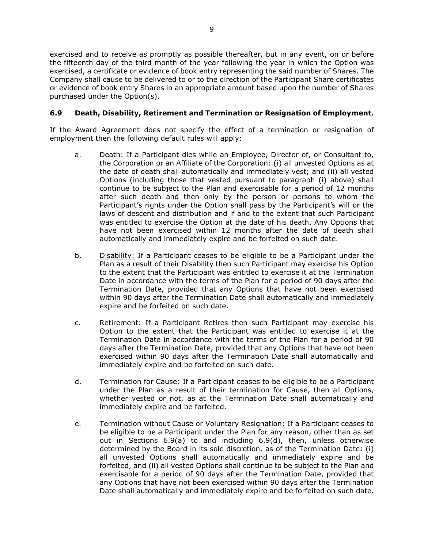exercised and to receive as promptly as possible thereafter, but in any event, on or before the fifteenth day of the third month of the year following the year in which the Option was exercised, a certificate or evidence of book entry representing the said number of Shares. The Company shall cause to be delivered to or to the direction of the Participant Share certificates or evidence of book entry Shares in an appropriate amount based upon the number of Shares purchased under the Option(s).

## **6.9 Death, Disability, Retirement and Termination or Resignation of Employment.**

If the Award Agreement does not specify the effect of a termination or resignation of employment then the following default rules will apply:

- a. Death: If a Participant dies while an Employee, Director of, or Consultant to, the Corporation or an Affiliate of the Corporation: (i) all unvested Options as at the date of death shall automatically and immediately vest; and (ii) all vested Options (including those that vested pursuant to paragraph (i) above) shall continue to be subject to the Plan and exercisable for a period of 12 months after such death and then only by the person or persons to whom the Participant's rights under the Option shall pass by the Participant's will or the laws of descent and distribution and if and to the extent that such Participant was entitled to exercise the Option at the date of his death. Any Options that have not been exercised within 12 months after the date of death shall automatically and immediately expire and be forfeited on such date.
- b. Disability: If a Participant ceases to be eligible to be a Participant under the Plan as a result of their Disability then such Participant may exercise his Option to the extent that the Participant was entitled to exercise it at the Termination Date in accordance with the terms of the Plan for a period of 90 days after the Termination Date, provided that any Options that have not been exercised within 90 days after the Termination Date shall automatically and immediately expire and be forfeited on such date.
- c. Retirement: If a Participant Retires then such Participant may exercise his Option to the extent that the Participant was entitled to exercise it at the Termination Date in accordance with the terms of the Plan for a period of 90 days after the Termination Date, provided that any Options that have not been exercised within 90 days after the Termination Date shall automatically and immediately expire and be forfeited on such date.
- d. Termination for Cause: If a Participant ceases to be eligible to be a Participant under the Plan as a result of their termination for Cause, then all Options, whether vested or not, as at the Termination Date shall automatically and immediately expire and be forfeited.
- e. Termination without Cause or Voluntary Resignation: If a Participant ceases to be eligible to be a Participant under the Plan for any reason, other than as set out in Sections  $6.9(a)$  to and including  $6.9(d)$ , then, unless otherwise determined by the Board in its sole discretion, as of the Termination Date: (i) all unvested Options shall automatically and immediately expire and be forfeited, and (ii) all vested Options shall continue to be subject to the Plan and exercisable for a period of 90 days after the Termination Date, provided that any Options that have not been exercised within 90 days after the Termination Date shall automatically and immediately expire and be forfeited on such date.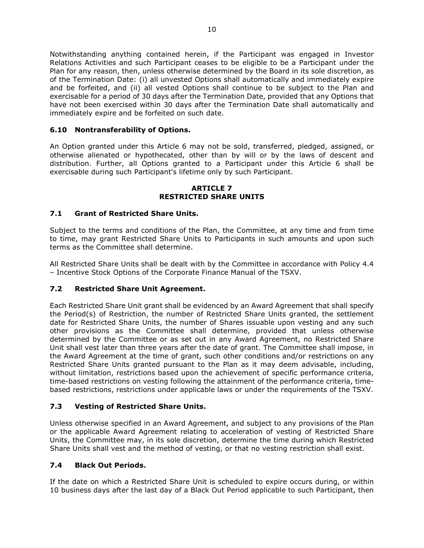Notwithstanding anything contained herein, if the Participant was engaged in Investor Relations Activities and such Participant ceases to be eligible to be a Participant under the Plan for any reason, then, unless otherwise determined by the Board in its sole discretion, as of the Termination Date: (i) all unvested Options shall automatically and immediately expire and be forfeited, and (ii) all vested Options shall continue to be subject to the Plan and exercisable for a period of 30 days after the Termination Date, provided that any Options that have not been exercised within 30 days after the Termination Date shall automatically and immediately expire and be forfeited on such date.

# **6.10 Nontransferability of Options.**

An Option granted under this Article 6 may not be sold, transferred, pledged, assigned, or otherwise alienated or hypothecated, other than by will or by the laws of descent and distribution. Further, all Options granted to a Participant under this Article 6 shall be exercisable during such Participant's lifetime only by such Participant.

#### **ARTICLE 7 RESTRICTED SHARE UNITS**

## **7.1 Grant of Restricted Share Units.**

Subject to the terms and conditions of the Plan, the Committee, at any time and from time to time, may grant Restricted Share Units to Participants in such amounts and upon such terms as the Committee shall determine.

All Restricted Share Units shall be dealt with by the Committee in accordance with Policy 4.4 – Incentive Stock Options of the Corporate Finance Manual of the TSXV.

## **7.2 Restricted Share Unit Agreement.**

Each Restricted Share Unit grant shall be evidenced by an Award Agreement that shall specify the Period(s) of Restriction, the number of Restricted Share Units granted, the settlement date for Restricted Share Units, the number of Shares issuable upon vesting and any such other provisions as the Committee shall determine, provided that unless otherwise determined by the Committee or as set out in any Award Agreement, no Restricted Share Unit shall vest later than three years after the date of grant. The Committee shall impose, in the Award Agreement at the time of grant, such other conditions and/or restrictions on any Restricted Share Units granted pursuant to the Plan as it may deem advisable, including, without limitation, restrictions based upon the achievement of specific performance criteria, time-based restrictions on vesting following the attainment of the performance criteria, timebased restrictions, restrictions under applicable laws or under the requirements of the TSXV.

### **7.3 Vesting of Restricted Share Units.**

Unless otherwise specified in an Award Agreement, and subject to any provisions of the Plan or the applicable Award Agreement relating to acceleration of vesting of Restricted Share Units, the Committee may, in its sole discretion, determine the time during which Restricted Share Units shall vest and the method of vesting, or that no vesting restriction shall exist.

### **7.4 Black Out Periods.**

If the date on which a Restricted Share Unit is scheduled to expire occurs during, or within 10 business days after the last day of a Black Out Period applicable to such Participant, then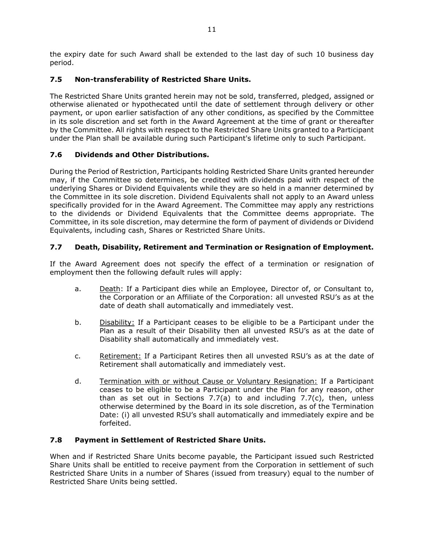the expiry date for such Award shall be extended to the last day of such 10 business day period.

# **7.5 Non-transferability of Restricted Share Units.**

The Restricted Share Units granted herein may not be sold, transferred, pledged, assigned or otherwise alienated or hypothecated until the date of settlement through delivery or other payment, or upon earlier satisfaction of any other conditions, as specified by the Committee in its sole discretion and set forth in the Award Agreement at the time of grant or thereafter by the Committee. All rights with respect to the Restricted Share Units granted to a Participant under the Plan shall be available during such Participant's lifetime only to such Participant.

# **7.6 Dividends and Other Distributions.**

During the Period of Restriction, Participants holding Restricted Share Units granted hereunder may, if the Committee so determines, be credited with dividends paid with respect of the underlying Shares or Dividend Equivalents while they are so held in a manner determined by the Committee in its sole discretion. Dividend Equivalents shall not apply to an Award unless specifically provided for in the Award Agreement. The Committee may apply any restrictions to the dividends or Dividend Equivalents that the Committee deems appropriate. The Committee, in its sole discretion, may determine the form of payment of dividends or Dividend Equivalents, including cash, Shares or Restricted Share Units.

# **7.7 Death, Disability, Retirement and Termination or Resignation of Employment.**

If the Award Agreement does not specify the effect of a termination or resignation of employment then the following default rules will apply:

- a. Death: If a Participant dies while an Employee, Director of, or Consultant to, the Corporation or an Affiliate of the Corporation: all unvested RSU's as at the date of death shall automatically and immediately vest.
- b. Disability: If a Participant ceases to be eligible to be a Participant under the Plan as a result of their Disability then all unvested RSU's as at the date of Disability shall automatically and immediately vest.
- c. Retirement: If a Participant Retires then all unvested RSU's as at the date of Retirement shall automatically and immediately vest.
- d. Termination with or without Cause or Voluntary Resignation: If a Participant ceases to be eligible to be a Participant under the Plan for any reason, other than as set out in Sections 7.7(a) to and including 7.7(c), then, unless otherwise determined by the Board in its sole discretion, as of the Termination Date: (i) all unvested RSU's shall automatically and immediately expire and be forfeited.

## **7.8 Payment in Settlement of Restricted Share Units.**

When and if Restricted Share Units become payable, the Participant issued such Restricted Share Units shall be entitled to receive payment from the Corporation in settlement of such Restricted Share Units in a number of Shares (issued from treasury) equal to the number of Restricted Share Units being settled.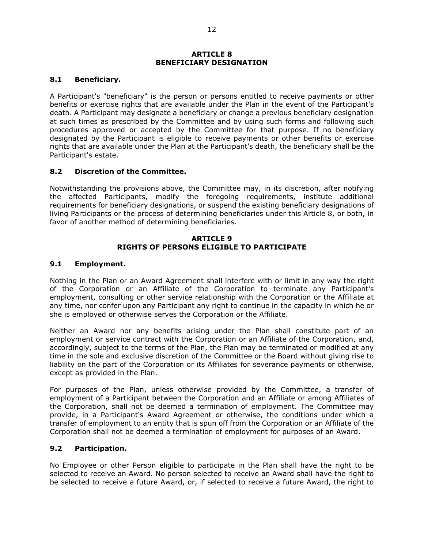#### **ARTICLE 8 BENEFICIARY DESIGNATION**

## **8.1 Beneficiary.**

A Participant's "beneficiary" is the person or persons entitled to receive payments or other benefits or exercise rights that are available under the Plan in the event of the Participant's death. A Participant may designate a beneficiary or change a previous beneficiary designation at such times as prescribed by the Committee and by using such forms and following such procedures approved or accepted by the Committee for that purpose. If no beneficiary designated by the Participant is eligible to receive payments or other benefits or exercise rights that are available under the Plan at the Participant's death, the beneficiary shall be the Participant's estate.

## **8.2 Discretion of the Committee.**

Notwithstanding the provisions above, the Committee may, in its discretion, after notifying the affected Participants, modify the foregoing requirements, institute additional requirements for beneficiary designations, or suspend the existing beneficiary designations of living Participants or the process of determining beneficiaries under this Article 8, or both, in favor of another method of determining beneficiaries.

#### **ARTICLE 9 RIGHTS OF PERSONS ELIGIBLE TO PARTICIPATE**

### **9.1 Employment.**

Nothing in the Plan or an Award Agreement shall interfere with or limit in any way the right of the Corporation or an Affiliate of the Corporation to terminate any Participant's employment, consulting or other service relationship with the Corporation or the Affiliate at any time, nor confer upon any Participant any right to continue in the capacity in which he or she is employed or otherwise serves the Corporation or the Affiliate.

Neither an Award nor any benefits arising under the Plan shall constitute part of an employment or service contract with the Corporation or an Affiliate of the Corporation, and, accordingly, subject to the terms of the Plan, the Plan may be terminated or modified at any time in the sole and exclusive discretion of the Committee or the Board without giving rise to liability on the part of the Corporation or its Affiliates for severance payments or otherwise, except as provided in the Plan.

For purposes of the Plan, unless otherwise provided by the Committee, a transfer of employment of a Participant between the Corporation and an Affiliate or among Affiliates of the Corporation, shall not be deemed a termination of employment. The Committee may provide, in a Participant's Award Agreement or otherwise, the conditions under which a transfer of employment to an entity that is spun off from the Corporation or an Affiliate of the Corporation shall not be deemed a termination of employment for purposes of an Award.

### **9.2 Participation.**

No Employee or other Person eligible to participate in the Plan shall have the right to be selected to receive an Award. No person selected to receive an Award shall have the right to be selected to receive a future Award, or, if selected to receive a future Award, the right to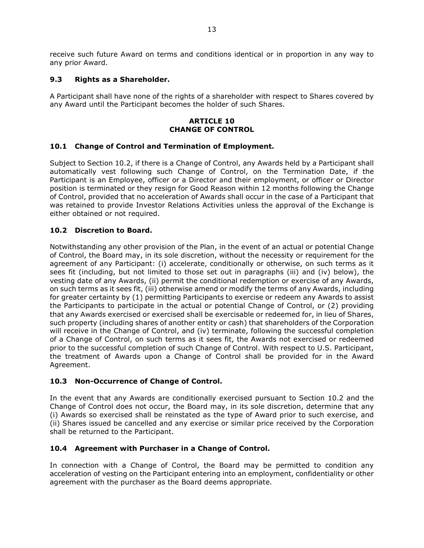receive such future Award on terms and conditions identical or in proportion in any way to any prior Award.

## **9.3 Rights as a Shareholder.**

A Participant shall have none of the rights of a shareholder with respect to Shares covered by any Award until the Participant becomes the holder of such Shares.

### **ARTICLE 10 CHANGE OF CONTROL**

## **10.1 Change of Control and Termination of Employment.**

Subject to Section 10.2, if there is a Change of Control, any Awards held by a Participant shall automatically vest following such Change of Control, on the Termination Date, if the Participant is an Employee, officer or a Director and their employment, or officer or Director position is terminated or they resign for Good Reason within 12 months following the Change of Control, provided that no acceleration of Awards shall occur in the case of a Participant that was retained to provide Investor Relations Activities unless the approval of the Exchange is either obtained or not required.

## **10.2 Discretion to Board.**

Notwithstanding any other provision of the Plan, in the event of an actual or potential Change of Control, the Board may, in its sole discretion, without the necessity or requirement for the agreement of any Participant: (i) accelerate, conditionally or otherwise, on such terms as it sees fit (including, but not limited to those set out in paragraphs (iii) and (iv) below), the vesting date of any Awards, (ii) permit the conditional redemption or exercise of any Awards, on such terms as it sees fit, (iii) otherwise amend or modify the terms of any Awards, including for greater certainty by (1) permitting Participants to exercise or redeem any Awards to assist the Participants to participate in the actual or potential Change of Control, or (2) providing that any Awards exercised or exercised shall be exercisable or redeemed for, in lieu of Shares, such property (including shares of another entity or cash) that shareholders of the Corporation will receive in the Change of Control, and (iv) terminate, following the successful completion of a Change of Control, on such terms as it sees fit, the Awards not exercised or redeemed prior to the successful completion of such Change of Control. With respect to U.S. Participant, the treatment of Awards upon a Change of Control shall be provided for in the Award Agreement.

## **10.3 Non-Occurrence of Change of Control.**

In the event that any Awards are conditionally exercised pursuant to Section 10.2 and the Change of Control does not occur, the Board may, in its sole discretion, determine that any (i) Awards so exercised shall be reinstated as the type of Award prior to such exercise, and (ii) Shares issued be cancelled and any exercise or similar price received by the Corporation shall be returned to the Participant.

## **10.4 Agreement with Purchaser in a Change of Control.**

In connection with a Change of Control, the Board may be permitted to condition any acceleration of vesting on the Participant entering into an employment, confidentiality or other agreement with the purchaser as the Board deems appropriate.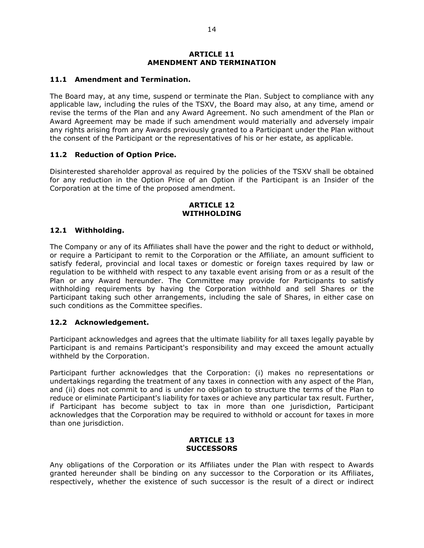#### **ARTICLE 11 AMENDMENT AND TERMINATION**

#### **11.1 Amendment and Termination.**

The Board may, at any time, suspend or terminate the Plan. Subject to compliance with any applicable law, including the rules of the TSXV, the Board may also, at any time, amend or revise the terms of the Plan and any Award Agreement. No such amendment of the Plan or Award Agreement may be made if such amendment would materially and adversely impair any rights arising from any Awards previously granted to a Participant under the Plan without the consent of the Participant or the representatives of his or her estate, as applicable.

### **11.2 Reduction of Option Price.**

Disinterested shareholder approval as required by the policies of the TSXV shall be obtained for any reduction in the Option Price of an Option if the Participant is an Insider of the Corporation at the time of the proposed amendment.

#### **ARTICLE 12 WITHHOLDING**

### **12.1 Withholding.**

The Company or any of its Affiliates shall have the power and the right to deduct or withhold, or require a Participant to remit to the Corporation or the Affiliate, an amount sufficient to satisfy federal, provincial and local taxes or domestic or foreign taxes required by law or regulation to be withheld with respect to any taxable event arising from or as a result of the Plan or any Award hereunder. The Committee may provide for Participants to satisfy withholding requirements by having the Corporation withhold and sell Shares or the Participant taking such other arrangements, including the sale of Shares, in either case on such conditions as the Committee specifies.

### **12.2 Acknowledgement.**

Participant acknowledges and agrees that the ultimate liability for all taxes legally payable by Participant is and remains Participant's responsibility and may exceed the amount actually withheld by the Corporation.

Participant further acknowledges that the Corporation: (i) makes no representations or undertakings regarding the treatment of any taxes in connection with any aspect of the Plan, and (ii) does not commit to and is under no obligation to structure the terms of the Plan to reduce or eliminate Participant's liability for taxes or achieve any particular tax result. Further, if Participant has become subject to tax in more than one jurisdiction, Participant acknowledges that the Corporation may be required to withhold or account for taxes in more than one jurisdiction.

#### **ARTICLE 13 SUCCESSORS**

Any obligations of the Corporation or its Affiliates under the Plan with respect to Awards granted hereunder shall be binding on any successor to the Corporation or its Affiliates, respectively, whether the existence of such successor is the result of a direct or indirect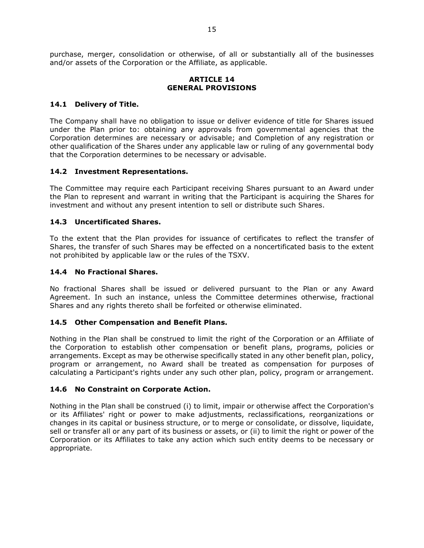purchase, merger, consolidation or otherwise, of all or substantially all of the businesses and/or assets of the Corporation or the Affiliate, as applicable.

#### **ARTICLE 14 GENERAL PROVISIONS**

## **14.1 Delivery of Title.**

The Company shall have no obligation to issue or deliver evidence of title for Shares issued under the Plan prior to: obtaining any approvals from governmental agencies that the Corporation determines are necessary or advisable; and Completion of any registration or other qualification of the Shares under any applicable law or ruling of any governmental body that the Corporation determines to be necessary or advisable.

## **14.2 Investment Representations.**

The Committee may require each Participant receiving Shares pursuant to an Award under the Plan to represent and warrant in writing that the Participant is acquiring the Shares for investment and without any present intention to sell or distribute such Shares.

## **14.3 Uncertificated Shares.**

To the extent that the Plan provides for issuance of certificates to reflect the transfer of Shares, the transfer of such Shares may be effected on a noncertificated basis to the extent not prohibited by applicable law or the rules of the TSXV.

## **14.4 No Fractional Shares.**

No fractional Shares shall be issued or delivered pursuant to the Plan or any Award Agreement. In such an instance, unless the Committee determines otherwise, fractional Shares and any rights thereto shall be forfeited or otherwise eliminated.

### **14.5 Other Compensation and Benefit Plans.**

Nothing in the Plan shall be construed to limit the right of the Corporation or an Affiliate of the Corporation to establish other compensation or benefit plans, programs, policies or arrangements. Except as may be otherwise specifically stated in any other benefit plan, policy, program or arrangement, no Award shall be treated as compensation for purposes of calculating a Participant's rights under any such other plan, policy, program or arrangement.

### **14.6 No Constraint on Corporate Action.**

Nothing in the Plan shall be construed (i) to limit, impair or otherwise affect the Corporation's or its Affiliates' right or power to make adjustments, reclassifications, reorganizations or changes in its capital or business structure, or to merge or consolidate, or dissolve, liquidate, sell or transfer all or any part of its business or assets, or (ii) to limit the right or power of the Corporation or its Affiliates to take any action which such entity deems to be necessary or appropriate.